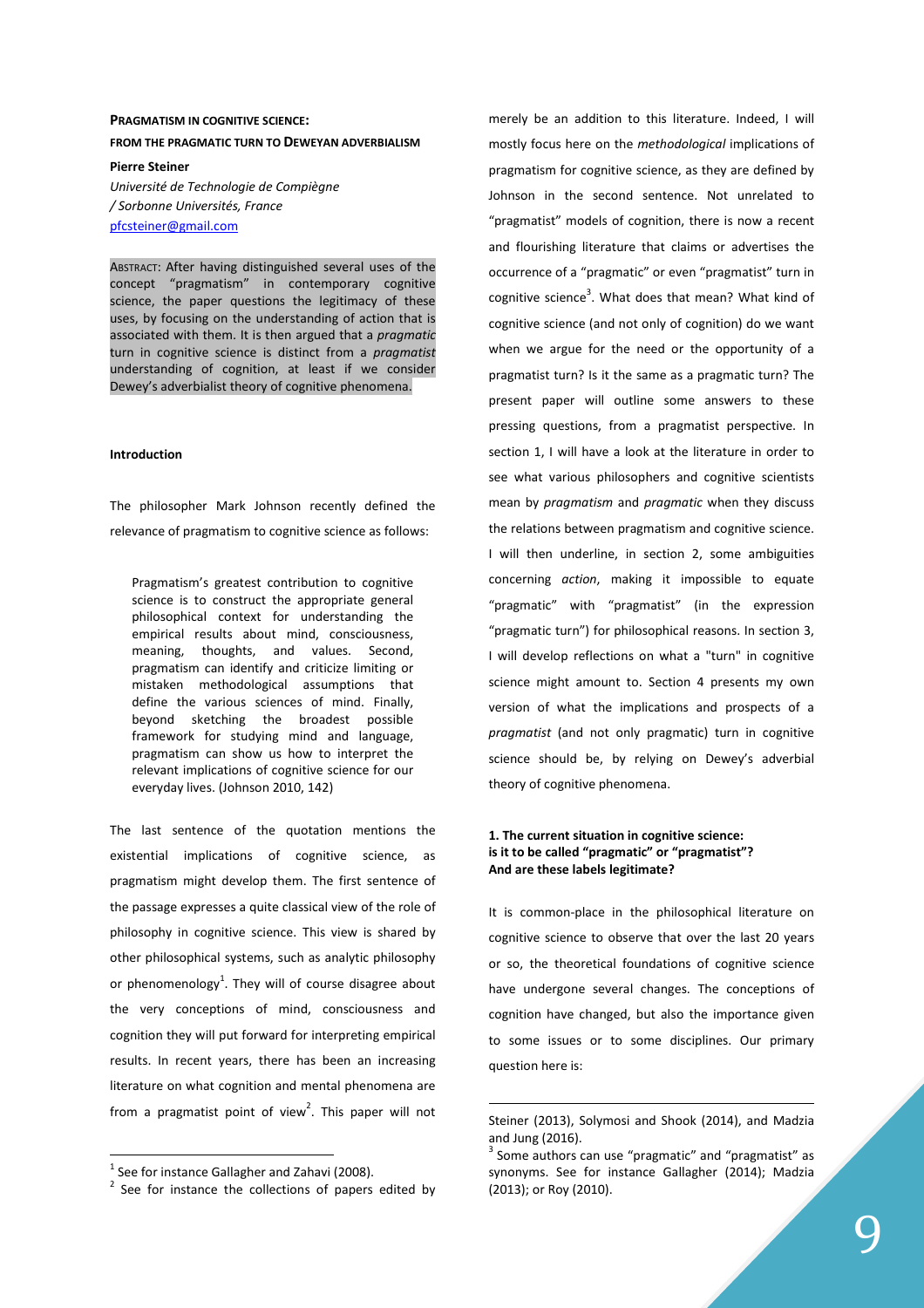# **PRAGMATISM IN COGNITIVE SCIENCE: FROM THE PRAGMATIC TURN TO DEWEYAN ADVERBIALISM**

**Pierre Steiner**  *Université de Technologie de Compiègne / Sorbonne Universités, France*  pfcsteiner@gmail.com

ABSTRACT: After having distinguished several uses of the concept "pragmatism" in contemporary cognitive science, the paper questions the legitimacy of these uses, by focusing on the understanding of action that is associated with them. It is then argued that a *pragmatic* turn in cognitive science is distinct from a *pragmatist* understanding of cognition, at least if we consider Dewey's adverbialist theory of cognitive phenomena.

#### **Introduction**

The philosopher Mark Johnson recently defined the relevance of pragmatism to cognitive science as follows:

Pragmatism's greatest contribution to cognitive science is to construct the appropriate general philosophical context for understanding the empirical results about mind, consciousness, meaning, thoughts, and values. Second, pragmatism can identify and criticize limiting or mistaken methodological assumptions that define the various sciences of mind. Finally, beyond sketching the broadest possible framework for studying mind and language, pragmatism can show us how to interpret the relevant implications of cognitive science for our everyday lives. (Johnson 2010, 142)

The last sentence of the quotation mentions the existential implications of cognitive science, as pragmatism might develop them. The first sentence of the passage expresses a quite classical view of the role of philosophy in cognitive science. This view is shared by other philosophical systems, such as analytic philosophy or phenomenology<sup>1</sup>. They will of course disagree about the very conceptions of mind, consciousness and cognition they will put forward for interpreting empirical results. In recent years, there has been an increasing literature on what cognition and mental phenomena are from a pragmatist point of view<sup>2</sup>. This paper will not

 $\overline{a}$ 

merely be an addition to this literature. Indeed, I will mostly focus here on the *methodological* implications of pragmatism for cognitive science, as they are defined by Johnson in the second sentence. Not unrelated to "pragmatist" models of cognition, there is now a recent and flourishing literature that claims or advertises the occurrence of a "pragmatic" or even "pragmatist" turn in cognitive science<sup>3</sup>. What does that mean? What kind of cognitive science (and not only of cognition) do we want when we argue for the need or the opportunity of a pragmatist turn? Is it the same as a pragmatic turn? The present paper will outline some answers to these pressing questions, from a pragmatist perspective. In section 1, I will have a look at the literature in order to see what various philosophers and cognitive scientists mean by *pragmatism* and *pragmatic* when they discuss the relations between pragmatism and cognitive science. I will then underline, in section 2, some ambiguities concerning *action*, making it impossible to equate "pragmatic" with "pragmatist" (in the expression "pragmatic turn") for philosophical reasons. In section 3, I will develop reflections on what a "turn" in cognitive science might amount to. Section 4 presents my own version of what the implications and prospects of a *pragmatist* (and not only pragmatic) turn in cognitive science should be, by relying on Dewey's adverbial theory of cognitive phenomena.

# **1. The current situation in cognitive science: is it to be called "pragmatic" or "pragmatist"? And are these labels legitimate?**

It is common-place in the philosophical literature on cognitive science to observe that over the last 20 years or so, the theoretical foundations of cognitive science have undergone several changes. The conceptions of cognition have changed, but also the importance given to some issues or to some disciplines. Our primary question here is:

 $<sup>1</sup>$  See for instance Gallagher and Zahavi (2008).</sup>

 $2$  See for instance the collections of papers edited by

Steiner (2013), Solymosi and Shook (2014), and Madzia and Jung (2016).

 $3$  Some authors can use "pragmatic" and "pragmatist" as synonyms. See for instance Gallagher (2014); Madzia (2013); or Roy (2010).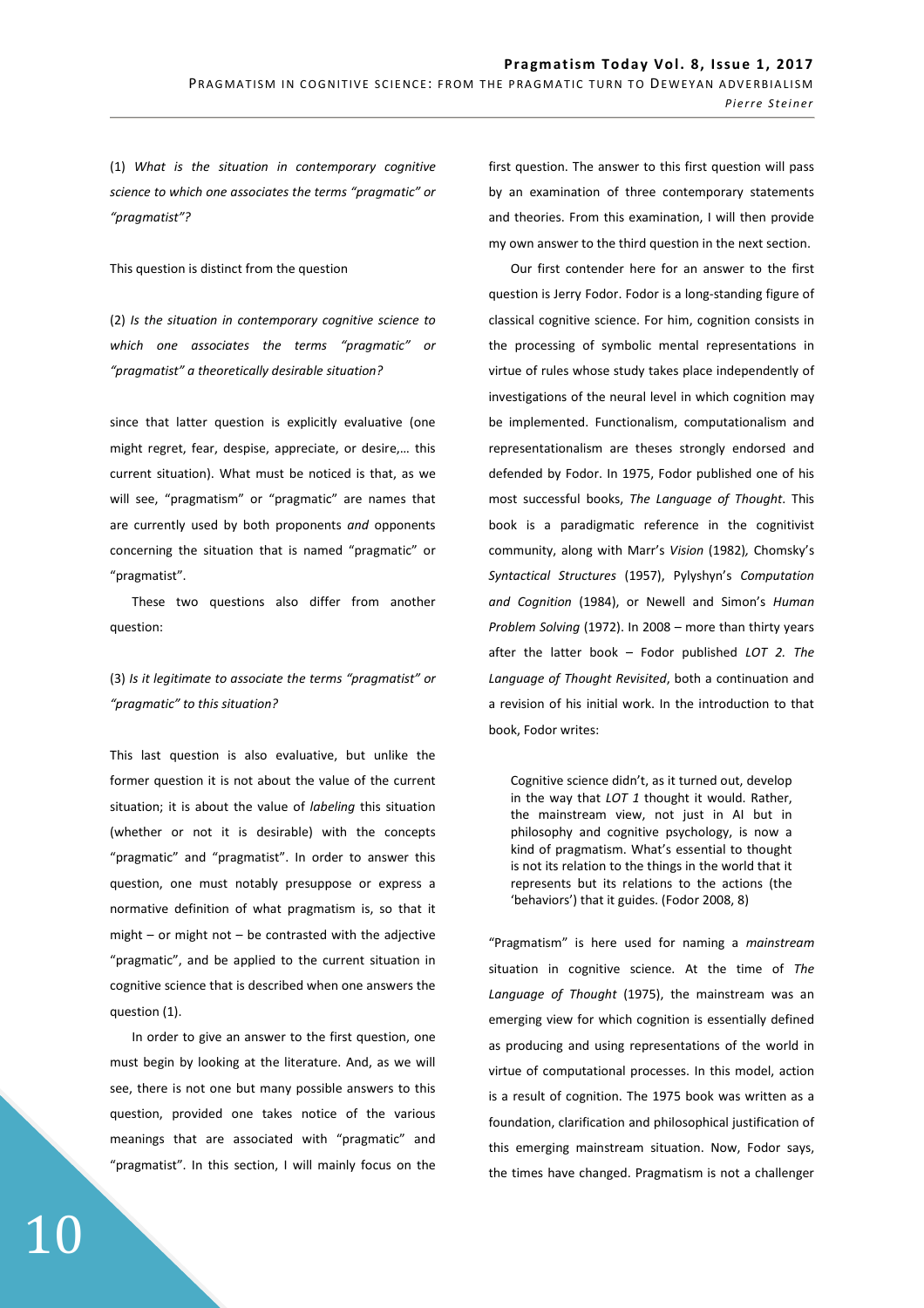(1) *What is the situation in contemporary cognitive science to which one associates the terms "pragmatic" or "pragmatist"?* 

This question is distinct from the question

(2) *Is the situation in contemporary cognitive science to which one associates the terms "pragmatic" or "pragmatist" a theoretically desirable situation?*

since that latter question is explicitly evaluative (one might regret, fear, despise, appreciate, or desire,… this current situation). What must be noticed is that, as we will see, "pragmatism" or "pragmatic" are names that are currently used by both proponents *and* opponents concerning the situation that is named "pragmatic" or "pragmatist".

These two questions also differ from another question:

# (3) *Is it legitimate to associate the terms "pragmatist" or "pragmatic" to this situation?*

This last question is also evaluative, but unlike the former question it is not about the value of the current situation; it is about the value of *labeling* this situation (whether or not it is desirable) with the concepts "pragmatic" and "pragmatist". In order to answer this question, one must notably presuppose or express a normative definition of what pragmatism is, so that it might – or might not – be contrasted with the adjective "pragmatic", and be applied to the current situation in cognitive science that is described when one answers the question (1).

In order to give an answer to the first question, one must begin by looking at the literature. And, as we will see, there is not one but many possible answers to this question, provided one takes notice of the various meanings that are associated with "pragmatic" and "pragmatist". In this section, I will mainly focus on the first question. The answer to this first question will pass by an examination of three contemporary statements and theories. From this examination, I will then provide my own answer to the third question in the next section.

Our first contender here for an answer to the first question is Jerry Fodor. Fodor is a long-standing figure of classical cognitive science. For him, cognition consists in the processing of symbolic mental representations in virtue of rules whose study takes place independently of investigations of the neural level in which cognition may be implemented. Functionalism, computationalism and representationalism are theses strongly endorsed and defended by Fodor. In 1975, Fodor published one of his most successful books, *The Language of Thought*. This book is a paradigmatic reference in the cognitivist community, along with Marr's *Vision* (1982)*,* Chomsky's *Syntactical Structures* (1957), Pylyshyn's *Computation and Cognition* (1984), or Newell and Simon's *Human Problem Solving* (1972). In 2008 – more than thirty years after the latter book – Fodor published *LOT 2. The Language of Thought Revisited*, both a continuation and a revision of his initial work. In the introduction to that book, Fodor writes:

Cognitive science didn't, as it turned out, develop in the way that *LOT 1* thought it would. Rather, the mainstream view, not just in AI but in philosophy and cognitive psychology, is now a kind of pragmatism. What's essential to thought is not its relation to the things in the world that it represents but its relations to the actions (the 'behaviors') that it guides. (Fodor 2008, 8)

"Pragmatism" is here used for naming a *mainstream* situation in cognitive science. At the time of *The Language of Thought* (1975), the mainstream was an emerging view for which cognition is essentially defined as producing and using representations of the world in virtue of computational processes. In this model, action is a result of cognition. The 1975 book was written as a foundation, clarification and philosophical justification of this emerging mainstream situation. Now, Fodor says, the times have changed. Pragmatism is not a challenger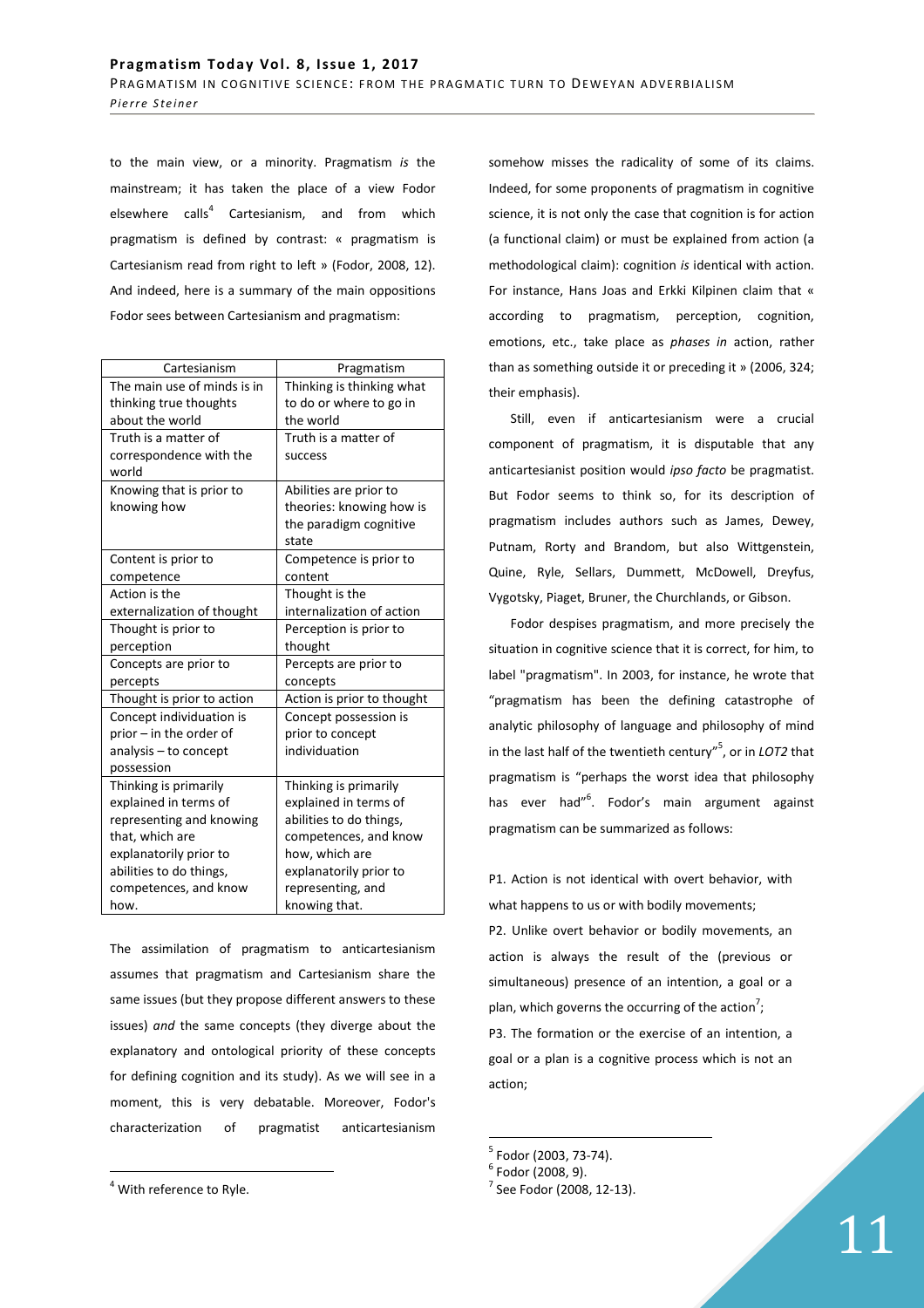to the main view, or a minority. Pragmatism *is* the mainstream; it has taken the place of a view Fodor elsewhere calls<sup>4</sup> Cartesianism, and from which pragmatism is defined by contrast: « pragmatism is Cartesianism read from right to left » (Fodor, 2008, 12). And indeed, here is a summary of the main oppositions Fodor sees between Cartesianism and pragmatism:

| Cartesianism                | Pragmatism                 |
|-----------------------------|----------------------------|
| The main use of minds is in | Thinking is thinking what  |
| thinking true thoughts      | to do or where to go in    |
| about the world             | the world                  |
| Truth is a matter of        | Truth is a matter of       |
| correspondence with the     | success                    |
| world                       |                            |
| Knowing that is prior to    | Abilities are prior to     |
| knowing how                 | theories: knowing how is   |
|                             | the paradigm cognitive     |
|                             | state                      |
| Content is prior to         | Competence is prior to     |
| competence                  | content                    |
| Action is the               | Thought is the             |
| externalization of thought  | internalization of action  |
| Thought is prior to         | Perception is prior to     |
| perception                  | thought                    |
| Concepts are prior to       | Percepts are prior to      |
| percepts                    | concepts                   |
| Thought is prior to action  | Action is prior to thought |
| Concept individuation is    | Concept possession is      |
| prior - in the order of     | prior to concept           |
| analysis - to concept       | individuation              |
| possession                  |                            |
| Thinking is primarily       | Thinking is primarily      |
| explained in terms of       | explained in terms of      |
| representing and knowing    | abilities to do things,    |
| that, which are             | competences, and know      |
| explanatorily prior to      | how, which are             |
| abilities to do things,     | explanatorily prior to     |
| competences, and know       | representing, and          |
| how.                        | knowing that.              |

The assimilation of pragmatism to anticartesianism assumes that pragmatism and Cartesianism share the same issues (but they propose different answers to these issues) *and* the same concepts (they diverge about the explanatory and ontological priority of these concepts for defining cognition and its study). As we will see in a moment, this is very debatable. Moreover, Fodor's characterization of pragmatist anticartesianism

 $\overline{a}$ 

somehow misses the radicality of some of its claims. Indeed, for some proponents of pragmatism in cognitive science, it is not only the case that cognition is for action (a functional claim) or must be explained from action (a methodological claim): cognition *is* identical with action. For instance, Hans Joas and Erkki Kilpinen claim that « according to pragmatism, perception, cognition, emotions, etc., take place as *phases in* action, rather than as something outside it or preceding it » (2006, 324; their emphasis).

Still, even if anticartesianism were a crucial component of pragmatism, it is disputable that any anticartesianist position would *ipso facto* be pragmatist. But Fodor seems to think so, for its description of pragmatism includes authors such as James, Dewey, Putnam, Rorty and Brandom, but also Wittgenstein, Quine, Ryle, Sellars, Dummett, McDowell, Dreyfus, Vygotsky, Piaget, Bruner, the Churchlands, or Gibson.

Fodor despises pragmatism, and more precisely the situation in cognitive science that it is correct, for him, to label "pragmatism". In 2003, for instance, he wrote that "pragmatism has been the defining catastrophe of analytic philosophy of language and philosophy of mind in the last half of the twentieth century"<sup>5</sup> , or in *LOT2* that pragmatism is "perhaps the worst idea that philosophy has ever had"<sup>6</sup>. Fodor's main argument against pragmatism can be summarized as follows:

P1. Action is not identical with overt behavior, with what happens to us or with bodily movements;

P2. Unlike overt behavior or bodily movements, an action is always the result of the (previous or simultaneous) presence of an intention, a goal or a plan, which governs the occurring of the action<sup>7</sup>;

P3. The formation or the exercise of an intention, a goal or a plan is a cognitive process which is not an action;

<sup>5</sup> Fodor (2003, 73-74).

<sup>&</sup>lt;sup>4</sup> With reference to Ryle.

 $6$  Fodor (2008, 9).

 $7$  See Fodor (2008, 12-13).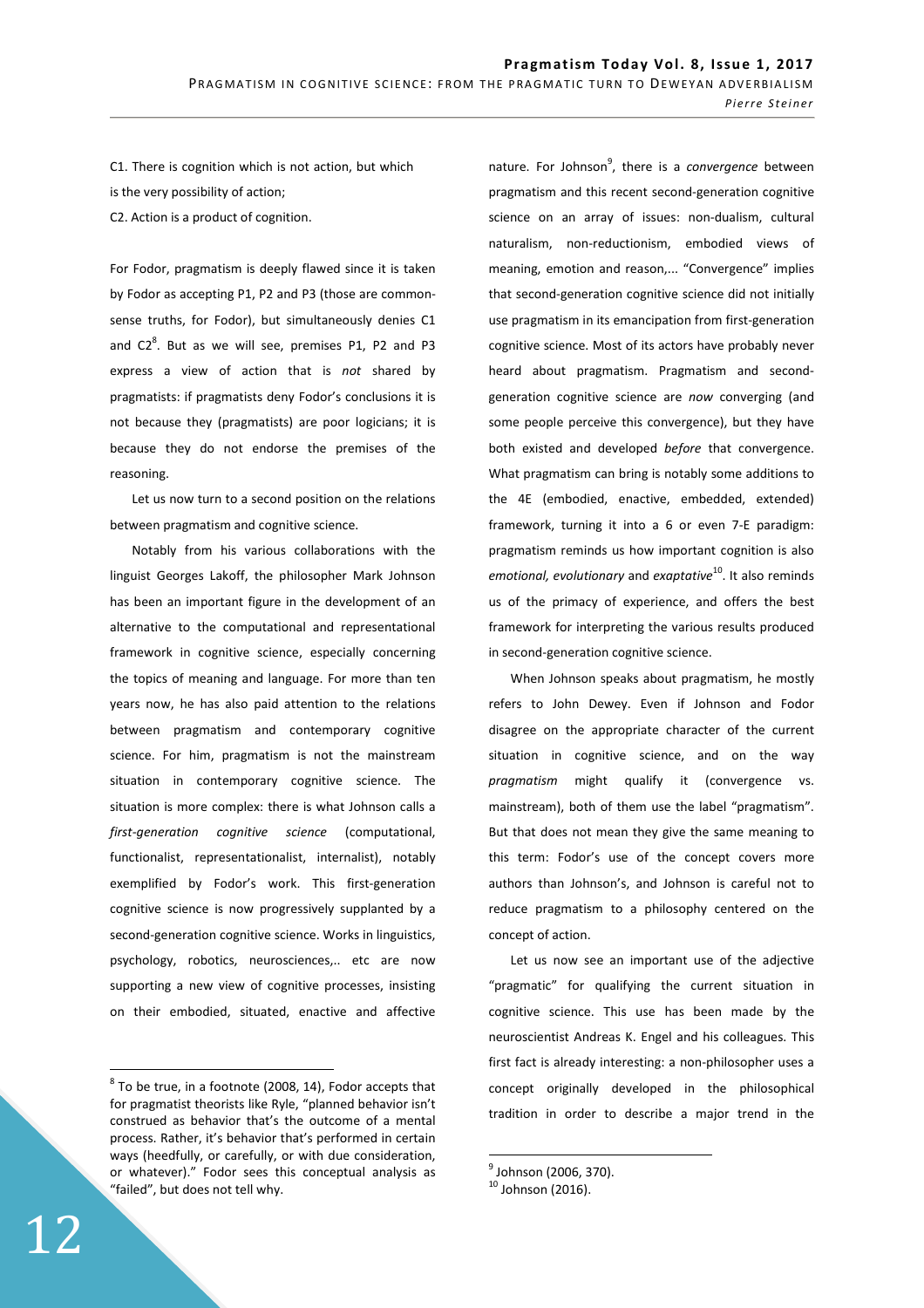C1. There is cognition which is not action, but which is the very possibility of action; C2. Action is a product of cognition.

For Fodor, pragmatism is deeply flawed since it is taken by Fodor as accepting P1, P2 and P3 (those are commonsense truths, for Fodor), but simultaneously denies C1 and  $C2<sup>8</sup>$ . But as we will see, premises P1, P2 and P3 express a view of action that is *not* shared by pragmatists: if pragmatists deny Fodor's conclusions it is not because they (pragmatists) are poor logicians; it is because they do not endorse the premises of the reasoning.

Let us now turn to a second position on the relations between pragmatism and cognitive science.

Notably from his various collaborations with the linguist Georges Lakoff, the philosopher Mark Johnson has been an important figure in the development of an alternative to the computational and representational framework in cognitive science, especially concerning the topics of meaning and language. For more than ten years now, he has also paid attention to the relations between pragmatism and contemporary cognitive science. For him, pragmatism is not the mainstream situation in contemporary cognitive science. The situation is more complex: there is what Johnson calls a *first-generation cognitive science* (computational, functionalist, representationalist, internalist), notably exemplified by Fodor's work. This first-generation cognitive science is now progressively supplanted by a second-generation cognitive science. Works in linguistics, psychology, robotics, neurosciences,.. etc are now supporting a new view of cognitive processes, insisting on their embodied, situated, enactive and affective

nature. For Johnson<sup>9</sup>, there is a *convergence* between pragmatism and this recent second-generation cognitive science on an array of issues: non-dualism, cultural naturalism, non-reductionism, embodied views of meaning, emotion and reason,... "Convergence" implies that second-generation cognitive science did not initially use pragmatism in its emancipation from first-generation cognitive science. Most of its actors have probably never heard about pragmatism. Pragmatism and secondgeneration cognitive science are *now* converging (and some people perceive this convergence), but they have both existed and developed *before* that convergence. What pragmatism can bring is notably some additions to the 4E (embodied, enactive, embedded, extended) framework, turning it into a 6 or even 7-E paradigm: pragmatism reminds us how important cognition is also *emotional, evolutionary* and *exaptative*<sup>10</sup>. It also reminds us of the primacy of experience, and offers the best framework for interpreting the various results produced in second-generation cognitive science.

When Johnson speaks about pragmatism, he mostly refers to John Dewey. Even if Johnson and Fodor disagree on the appropriate character of the current situation in cognitive science, and on the way *pragmatism* might qualify it (convergence vs. mainstream), both of them use the label "pragmatism". But that does not mean they give the same meaning to this term: Fodor's use of the concept covers more authors than Johnson's, and Johnson is careful not to reduce pragmatism to a philosophy centered on the concept of action.

Let us now see an important use of the adjective "pragmatic" for qualifying the current situation in cognitive science. This use has been made by the neuroscientist Andreas K. Engel and his colleagues. This first fact is already interesting: a non-philosopher uses a concept originally developed in the philosophical tradition in order to describe a major trend in the

 $8$  To be true, in a footnote (2008, 14), Fodor accepts that for pragmatist theorists like Ryle, "planned behavior isn't construed as behavior that's the outcome of a mental process. Rather, it's behavior that's performed in certain ways (heedfully, or carefully, or with due consideration, or whatever)." Fodor sees this conceptual analysis as "failed", but does not tell why.

<sup>&</sup>lt;sub>9</sub><br><sup>9</sup> Johnson (2006, 370).

 $10$  Johnson (2016).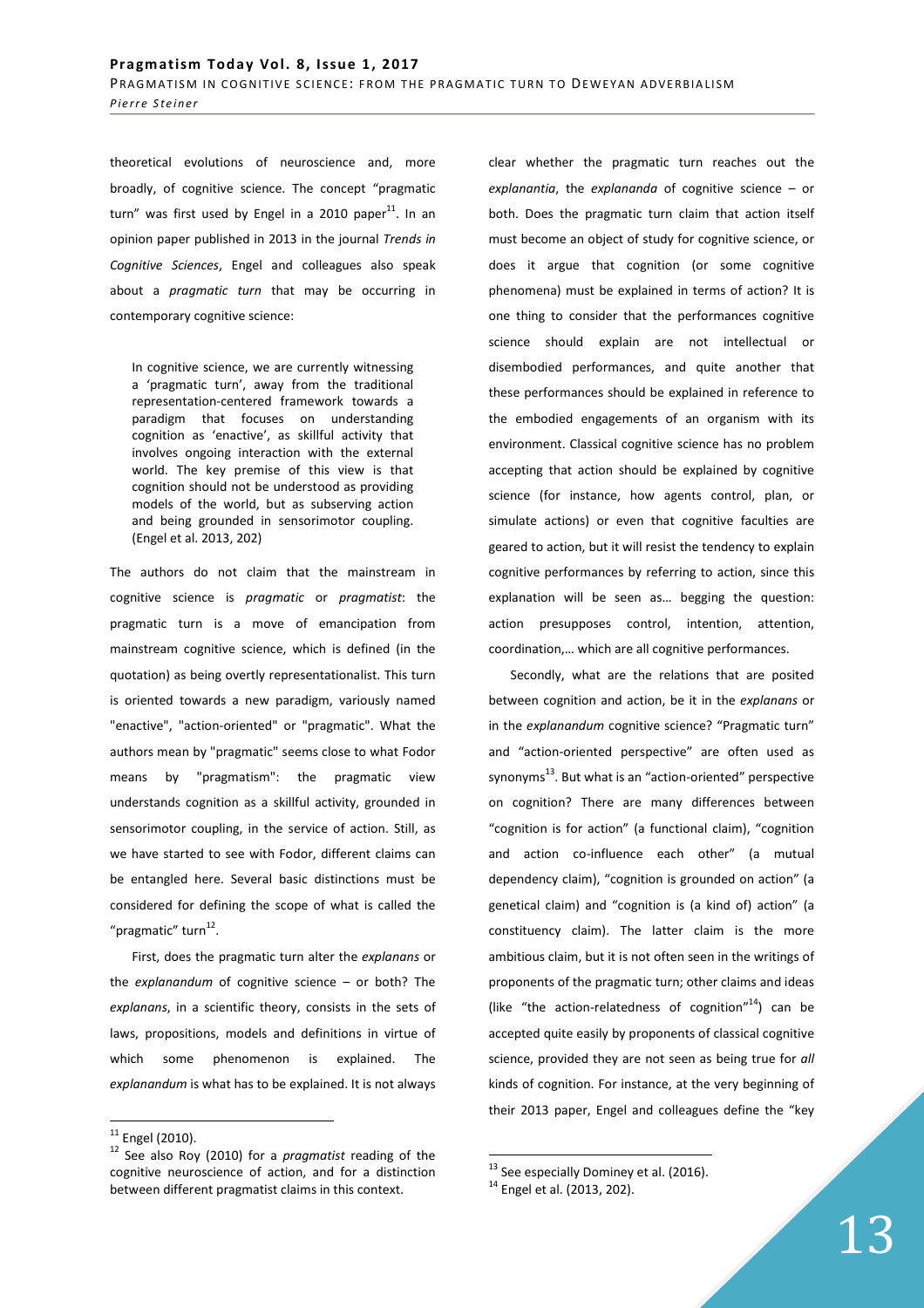theoretical evolutions of neuroscience and, more broadly, of cognitive science. The concept "pragmatic turn" was first used by Engel in a 2010 paper $^{11}$ . In an opinion paper published in 2013 in the journal *Trends in Cognitive Sciences*, Engel and colleagues also speak about a *pragmatic turn* that may be occurring in contemporary cognitive science:

In cognitive science, we are currently witnessing a 'pragmatic turn', away from the traditional representation-centered framework towards a paradigm that focuses on understanding cognition as 'enactive', as skillful activity that involves ongoing interaction with the external world. The key premise of this view is that cognition should not be understood as providing models of the world, but as subserving action and being grounded in sensorimotor coupling. (Engel et al. 2013, 202)

The authors do not claim that the mainstream in cognitive science is *pragmatic* or *pragmatist*: the pragmatic turn is a move of emancipation from mainstream cognitive science, which is defined (in the quotation) as being overtly representationalist. This turn is oriented towards a new paradigm, variously named "enactive", "action-oriented" or "pragmatic". What the authors mean by "pragmatic" seems close to what Fodor means by "pragmatism": the pragmatic view understands cognition as a skillful activity, grounded in sensorimotor coupling, in the service of action. Still, as we have started to see with Fodor, different claims can be entangled here. Several basic distinctions must be considered for defining the scope of what is called the "pragmatic" turn<sup>12</sup>.

First, does the pragmatic turn alter the *explanans* or the *explanandum* of cognitive science – or both? The *explanans*, in a scientific theory, consists in the sets of laws, propositions, models and definitions in virtue of which some phenomenon is explained. The *explanandum* is what has to be explained. It is not always

 $\overline{a}$ 

clear whether the pragmatic turn reaches out the *explanantia*, the *explananda* of cognitive science – or both. Does the pragmatic turn claim that action itself must become an object of study for cognitive science, or does it argue that cognition (or some cognitive phenomena) must be explained in terms of action? It is one thing to consider that the performances cognitive science should explain are not intellectual or disembodied performances, and quite another that these performances should be explained in reference to the embodied engagements of an organism with its environment. Classical cognitive science has no problem accepting that action should be explained by cognitive science (for instance, how agents control, plan, or simulate actions) or even that cognitive faculties are geared to action, but it will resist the tendency to explain cognitive performances by referring to action, since this explanation will be seen as… begging the question: action presupposes control, intention, attention, coordination,… which are all cognitive performances.

Secondly, what are the relations that are posited between cognition and action, be it in the *explanans* or in the *explanandum* cognitive science? "Pragmatic turn" and "action-oriented perspective" are often used as synonyms<sup>13</sup>. But what is an "action-oriented" perspective on cognition? There are many differences between "cognition is for action" (a functional claim), "cognition and action co-influence each other" (a mutual dependency claim), "cognition is grounded on action" (a genetical claim) and "cognition is (a kind of) action" (a constituency claim). The latter claim is the more ambitious claim, but it is not often seen in the writings of proponents of the pragmatic turn; other claims and ideas (like "the action-relatedness of cognition"<sup>14</sup>) can be accepted quite easily by proponents of classical cognitive science, provided they are not seen as being true for *all* kinds of cognition. For instance, at the very beginning of their 2013 paper, Engel and colleagues define the "key

 $11$  Engel (2010).

<sup>12</sup> See also Roy (2010) for a *pragmatist* reading of the cognitive neuroscience of action, and for a distinction between different pragmatist claims in this context.

 $^{13}$  See especially Dominey et al. (2016).

<sup>&</sup>lt;sup>14</sup> Engel et al. (2013, 202).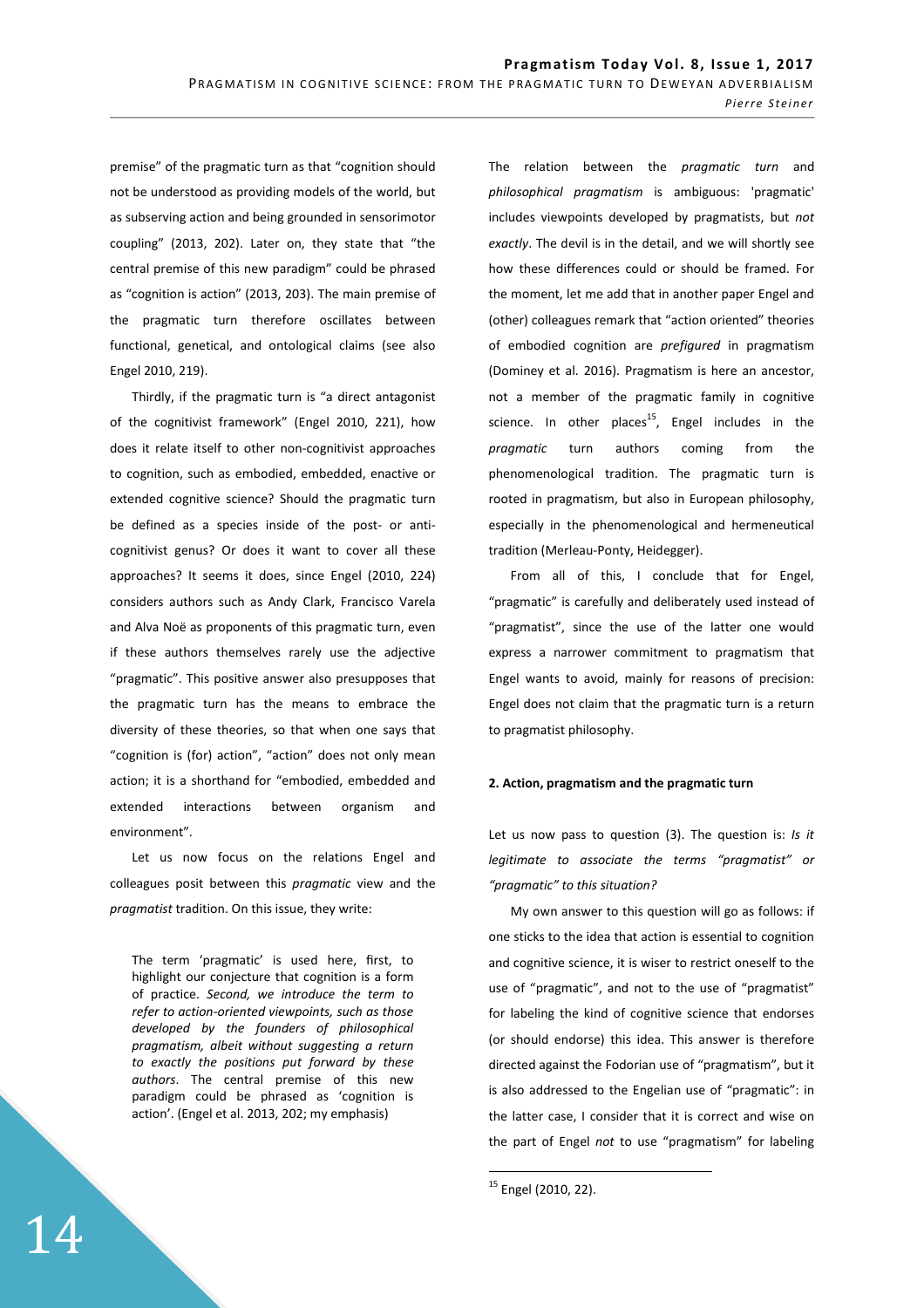premise" of the pragmatic turn as that "cognition should not be understood as providing models of the world, but as subserving action and being grounded in sensorimotor coupling" (2013, 202). Later on, they state that "the central premise of this new paradigm" could be phrased as "cognition is action" (2013, 203). The main premise of the pragmatic turn therefore oscillates between functional, genetical, and ontological claims (see also Engel 2010, 219).

Thirdly, if the pragmatic turn is "a direct antagonist of the cognitivist framework" (Engel 2010, 221), how does it relate itself to other non-cognitivist approaches to cognition, such as embodied, embedded, enactive or extended cognitive science? Should the pragmatic turn be defined as a species inside of the post- or anticognitivist genus? Or does it want to cover all these approaches? It seems it does, since Engel (2010, 224) considers authors such as Andy Clark, Francisco Varela and Alva Noë as proponents of this pragmatic turn, even if these authors themselves rarely use the adjective "pragmatic". This positive answer also presupposes that the pragmatic turn has the means to embrace the diversity of these theories, so that when one says that "cognition is (for) action", "action" does not only mean action; it is a shorthand for "embodied, embedded and extended interactions between organism and environment".

Let us now focus on the relations Engel and colleagues posit between this *pragmatic* view and the *pragmatist* tradition. On this issue, they write:

The term 'pragmatic' is used here, first, to highlight our conjecture that cognition is a form of practice. *Second, we introduce the term to refer to action-oriented viewpoints, such as those developed by the founders of philosophical pragmatism, albeit without suggesting a return to exactly the positions put forward by these authors*. The central premise of this new paradigm could be phrased as 'cognition is action'. (Engel et al. 2013, 202; my emphasis)

The relation between the *pragmatic turn* and *philosophical pragmatism* is ambiguous: 'pragmatic' includes viewpoints developed by pragmatists, but *not exactly*. The devil is in the detail, and we will shortly see how these differences could or should be framed. For the moment, let me add that in another paper Engel and (other) colleagues remark that "action oriented" theories of embodied cognition are *prefigured* in pragmatism (Dominey et al. 2016). Pragmatism is here an ancestor, not a member of the pragmatic family in cognitive science. In other places<sup>15</sup>, Engel includes in the *pragmatic* turn authors coming from the phenomenological tradition. The pragmatic turn is rooted in pragmatism, but also in European philosophy, especially in the phenomenological and hermeneutical tradition (Merleau-Ponty, Heidegger).

From all of this, I conclude that for Engel, "pragmatic" is carefully and deliberately used instead of "pragmatist", since the use of the latter one would express a narrower commitment to pragmatism that Engel wants to avoid, mainly for reasons of precision: Engel does not claim that the pragmatic turn is a return to pragmatist philosophy.

#### **2. Action, pragmatism and the pragmatic turn**

Let us now pass to question (3). The question is: *Is it legitimate to associate the terms "pragmatist" or "pragmatic" to this situation?* 

My own answer to this question will go as follows: if one sticks to the idea that action is essential to cognition and cognitive science, it is wiser to restrict oneself to the use of "pragmatic", and not to the use of "pragmatist" for labeling the kind of cognitive science that endorses (or should endorse) this idea. This answer is therefore directed against the Fodorian use of "pragmatism", but it is also addressed to the Engelian use of "pragmatic": in the latter case, I consider that it is correct and wise on the part of Engel *not* to use "pragmatism" for labeling

<sup>15</sup> Engel (2010, 22).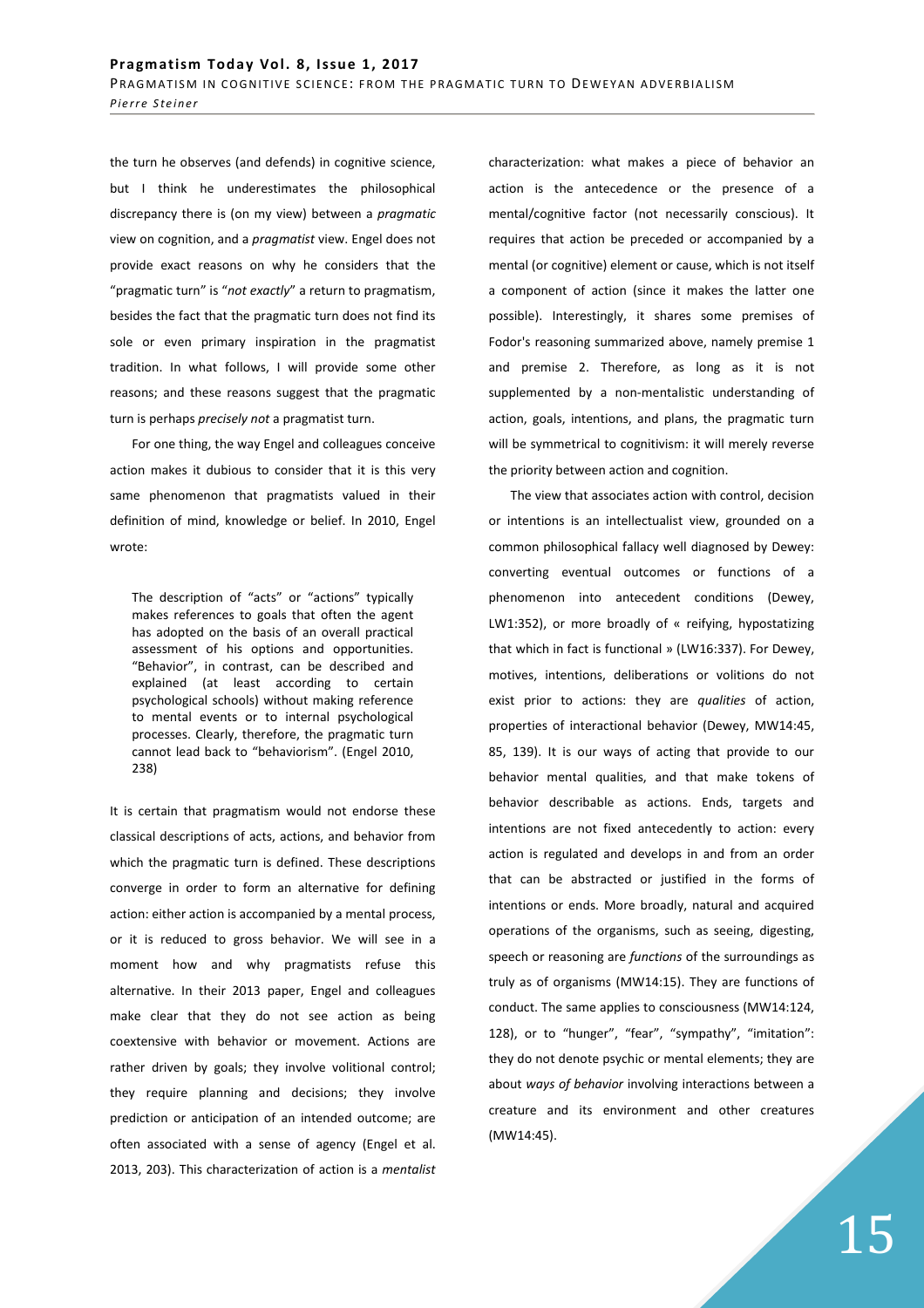the turn he observes (and defends) in cognitive science, but I think he underestimates the philosophical discrepancy there is (on my view) between a *pragmatic* view on cognition, and a *pragmatist* view. Engel does not provide exact reasons on why he considers that the "pragmatic turn" is "*not exactly*" a return to pragmatism, besides the fact that the pragmatic turn does not find its sole or even primary inspiration in the pragmatist tradition. In what follows, I will provide some other reasons; and these reasons suggest that the pragmatic turn is perhaps *precisely not* a pragmatist turn.

For one thing, the way Engel and colleagues conceive action makes it dubious to consider that it is this very same phenomenon that pragmatists valued in their definition of mind, knowledge or belief. In 2010, Engel wrote:

The description of "acts" or "actions" typically makes references to goals that often the agent has adopted on the basis of an overall practical assessment of his options and opportunities. "Behavior", in contrast, can be described and explained (at least according to certain psychological schools) without making reference to mental events or to internal psychological processes. Clearly, therefore, the pragmatic turn cannot lead back to "behaviorism". (Engel 2010, 238)

It is certain that pragmatism would not endorse these classical descriptions of acts, actions, and behavior from which the pragmatic turn is defined. These descriptions converge in order to form an alternative for defining action: either action is accompanied by a mental process, or it is reduced to gross behavior. We will see in a moment how and why pragmatists refuse this alternative. In their 2013 paper, Engel and colleagues make clear that they do not see action as being coextensive with behavior or movement. Actions are rather driven by goals; they involve volitional control; they require planning and decisions; they involve prediction or anticipation of an intended outcome; are often associated with a sense of agency (Engel et al. 2013, 203). This characterization of action is a *mentalist*

characterization: what makes a piece of behavior an action is the antecedence or the presence of a mental/cognitive factor (not necessarily conscious). It requires that action be preceded or accompanied by a mental (or cognitive) element or cause, which is not itself a component of action (since it makes the latter one possible). Interestingly, it shares some premises of Fodor's reasoning summarized above, namely premise 1 and premise 2. Therefore, as long as it is not supplemented by a non-mentalistic understanding of action, goals, intentions, and plans, the pragmatic turn will be symmetrical to cognitivism: it will merely reverse the priority between action and cognition.

The view that associates action with control, decision or intentions is an intellectualist view, grounded on a common philosophical fallacy well diagnosed by Dewey: converting eventual outcomes or functions of a phenomenon into antecedent conditions (Dewey, LW1:352), or more broadly of « reifying, hypostatizing that which in fact is functional » (LW16:337). For Dewey, motives, intentions, deliberations or volitions do not exist prior to actions: they are *qualities* of action, properties of interactional behavior (Dewey, MW14:45, 85, 139). It is our ways of acting that provide to our behavior mental qualities, and that make tokens of behavior describable as actions. Ends, targets and intentions are not fixed antecedently to action: every action is regulated and develops in and from an order that can be abstracted or justified in the forms of intentions or ends. More broadly, natural and acquired operations of the organisms, such as seeing, digesting, speech or reasoning are *functions* of the surroundings as truly as of organisms (MW14:15). They are functions of conduct. The same applies to consciousness (MW14:124, 128), or to "hunger", "fear", "sympathy", "imitation": they do not denote psychic or mental elements; they are about *ways of behavior* involving interactions between a creature and its environment and other creatures (MW14:45).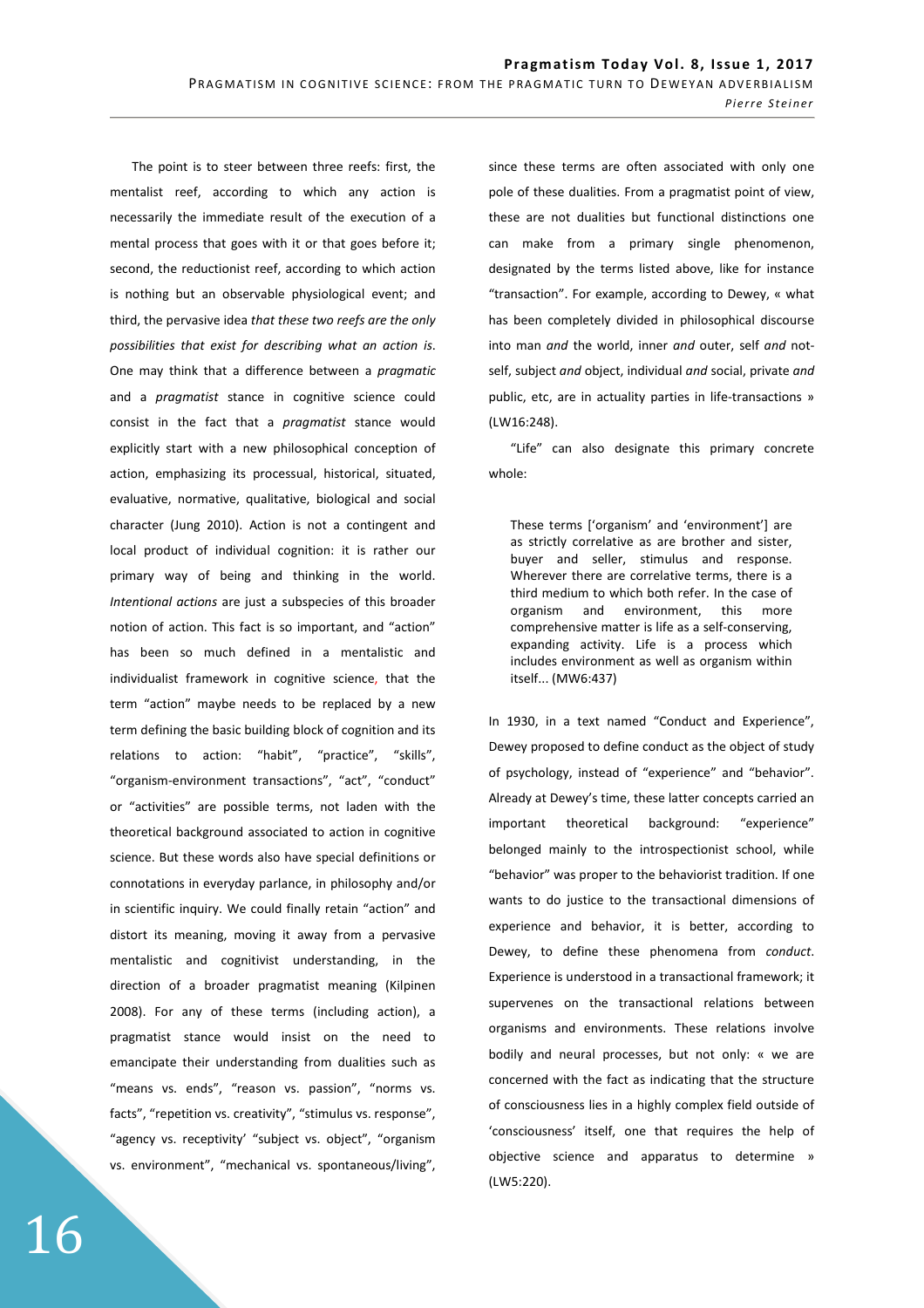The point is to steer between three reefs: first, the mentalist reef, according to which any action is necessarily the immediate result of the execution of a mental process that goes with it or that goes before it; second, the reductionist reef, according to which action is nothing but an observable physiological event; and third, the pervasive idea *that these two reefs are the only possibilities that exist for describing what an action is*. One may think that a difference between a *pragmatic*  and a *pragmatist* stance in cognitive science could consist in the fact that a *pragmatist* stance would explicitly start with a new philosophical conception of action, emphasizing its processual, historical, situated, evaluative, normative, qualitative, biological and social character (Jung 2010). Action is not a contingent and local product of individual cognition: it is rather our primary way of being and thinking in the world. *Intentional actions* are just a subspecies of this broader notion of action. This fact is so important, and "action" has been so much defined in a mentalistic and individualist framework in cognitive science, that the term "action" maybe needs to be replaced by a new term defining the basic building block of cognition and its relations to action: "habit", "practice", "skills", "organism-environment transactions", "act", "conduct" or "activities" are possible terms, not laden with the theoretical background associated to action in cognitive science. But these words also have special definitions or connotations in everyday parlance, in philosophy and/or in scientific inquiry. We could finally retain "action" and distort its meaning, moving it away from a pervasive mentalistic and cognitivist understanding, in the direction of a broader pragmatist meaning (Kilpinen 2008). For any of these terms (including action), a pragmatist stance would insist on the need to emancipate their understanding from dualities such as "means vs. ends", "reason vs. passion", "norms vs. facts", "repetition vs. creativity", "stimulus vs. response", "agency vs. receptivity' "subject vs. object", "organism vs. environment", "mechanical vs. spontaneous/living",

since these terms are often associated with only one pole of these dualities. From a pragmatist point of view, these are not dualities but functional distinctions one can make from a primary single phenomenon, designated by the terms listed above, like for instance "transaction". For example, according to Dewey, « what has been completely divided in philosophical discourse into man *and* the world, inner *and* outer, self *and* notself, subject *and* object, individual *and* social, private *and*  public, etc, are in actuality parties in life-transactions » (LW16:248).

"Life" can also designate this primary concrete whole:

These terms ['organism' and 'environment'] are as strictly correlative as are brother and sister, buyer and seller, stimulus and response. Wherever there are correlative terms, there is a third medium to which both refer. In the case of organism and environment, this more comprehensive matter is life as a self-conserving, expanding activity. Life is a process which includes environment as well as organism within itself... (MW6:437)

In 1930, in a text named "Conduct and Experience", Dewey proposed to define conduct as the object of study of psychology, instead of "experience" and "behavior". Already at Dewey's time, these latter concepts carried an important theoretical background: "experience" belonged mainly to the introspectionist school, while "behavior" was proper to the behaviorist tradition. If one wants to do justice to the transactional dimensions of experience and behavior, it is better, according to Dewey, to define these phenomena from *conduct*. Experience is understood in a transactional framework; it supervenes on the transactional relations between organisms and environments. These relations involve bodily and neural processes, but not only: « we are concerned with the fact as indicating that the structure of consciousness lies in a highly complex field outside of 'consciousness' itself, one that requires the help of objective science and apparatus to determine » (LW5:220).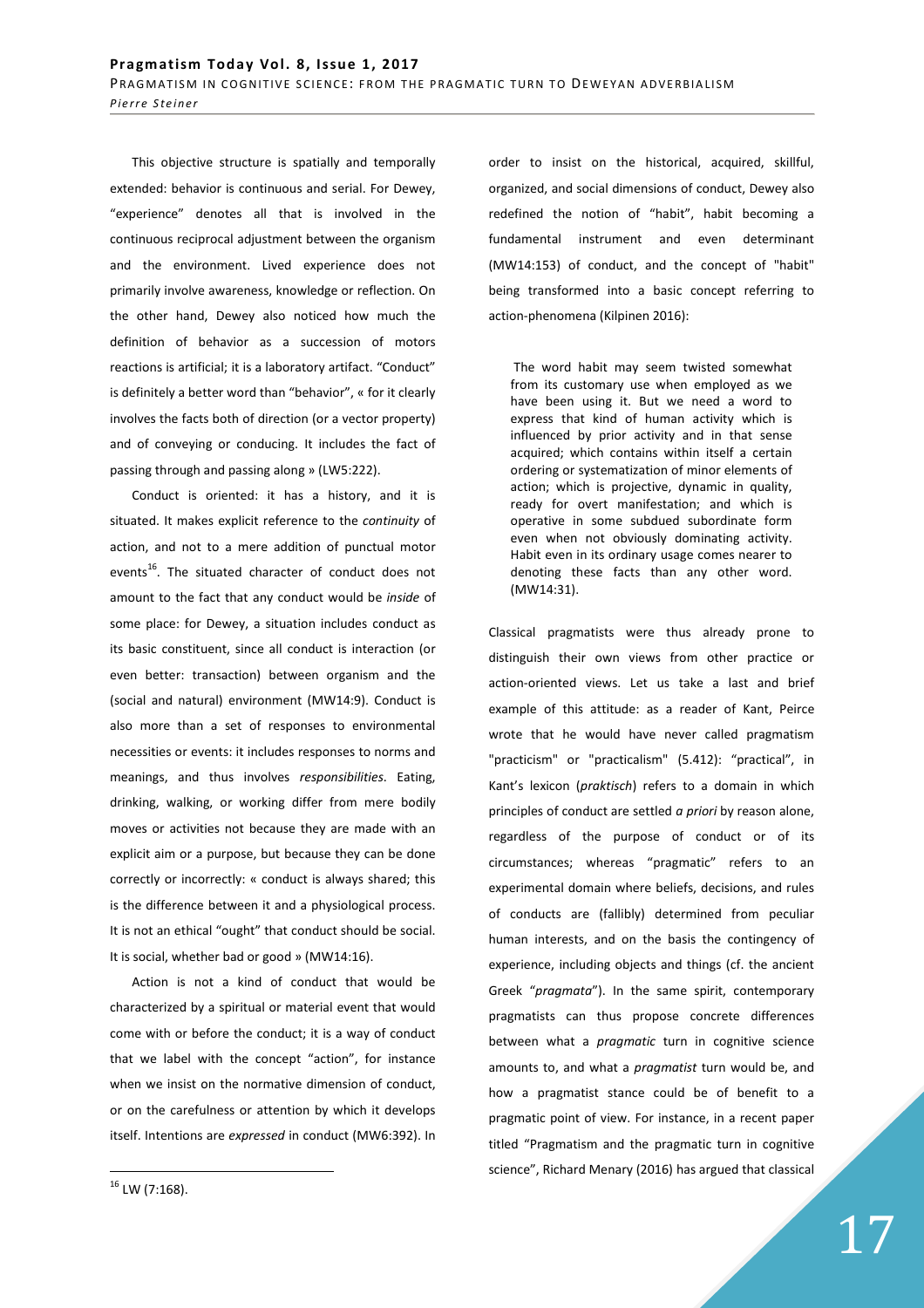This objective structure is spatially and temporally extended: behavior is continuous and serial. For Dewey, "experience" denotes all that is involved in the continuous reciprocal adjustment between the organism and the environment. Lived experience does not primarily involve awareness, knowledge or reflection. On the other hand, Dewey also noticed how much the definition of behavior as a succession of motors reactions is artificial; it is a laboratory artifact. "Conduct" is definitely a better word than "behavior", « for it clearly involves the facts both of direction (or a vector property) and of conveying or conducing. It includes the fact of passing through and passing along » (LW5:222).

Conduct is oriented: it has a history, and it is situated. It makes explicit reference to the *continuity* of action, and not to a mere addition of punctual motor events<sup>16</sup>. The situated character of conduct does not amount to the fact that any conduct would be *inside* of some place: for Dewey, a situation includes conduct as its basic constituent, since all conduct is interaction (or even better: transaction) between organism and the (social and natural) environment (MW14:9). Conduct is also more than a set of responses to environmental necessities or events: it includes responses to norms and meanings, and thus involves *responsibilities*. Eating, drinking, walking, or working differ from mere bodily moves or activities not because they are made with an explicit aim or a purpose, but because they can be done correctly or incorrectly: « conduct is always shared; this is the difference between it and a physiological process. It is not an ethical "ought" that conduct should be social. It is social, whether bad or good » (MW14:16).

Action is not a kind of conduct that would be characterized by a spiritual or material event that would come with or before the conduct; it is a way of conduct that we label with the concept "action", for instance when we insist on the normative dimension of conduct, or on the carefulness or attention by which it develops itself. Intentions are *expressed* in conduct (MW6:392). In order to insist on the historical, acquired, skillful, organized, and social dimensions of conduct, Dewey also redefined the notion of "habit", habit becoming a fundamental instrument and even determinant (MW14:153) of conduct, and the concept of "habit" being transformed into a basic concept referring to action-phenomena (Kilpinen 2016):

 The word habit may seem twisted somewhat from its customary use when employed as we have been using it. But we need a word to express that kind of human activity which is influenced by prior activity and in that sense acquired; which contains within itself a certain ordering or systematization of minor elements of action; which is projective, dynamic in quality, ready for overt manifestation; and which is operative in some subdued subordinate form even when not obviously dominating activity. Habit even in its ordinary usage comes nearer to denoting these facts than any other word. (MW14:31).

Classical pragmatists were thus already prone to distinguish their own views from other practice or action-oriented views. Let us take a last and brief example of this attitude: as a reader of Kant, Peirce wrote that he would have never called pragmatism "practicism" or "practicalism" (5.412): "practical", in Kant's lexicon (*praktisch*) refers to a domain in which principles of conduct are settled *a priori* by reason alone, regardless of the purpose of conduct or of its circumstances; whereas "pragmatic" refers to an experimental domain where beliefs, decisions, and rules of conducts are (fallibly) determined from peculiar human interests, and on the basis the contingency of experience, including objects and things (cf. the ancient Greek "*pragmata*"). In the same spirit, contemporary pragmatists can thus propose concrete differences between what a *pragmatic* turn in cognitive science amounts to, and what a *pragmatist* turn would be, and how a pragmatist stance could be of benefit to a pragmatic point of view. For instance, in a recent paper titled "Pragmatism and the pragmatic turn in cognitive science", Richard Menary (2016) has argued that classical

 $\overline{a}$ 

17

 $16$  LW (7:168).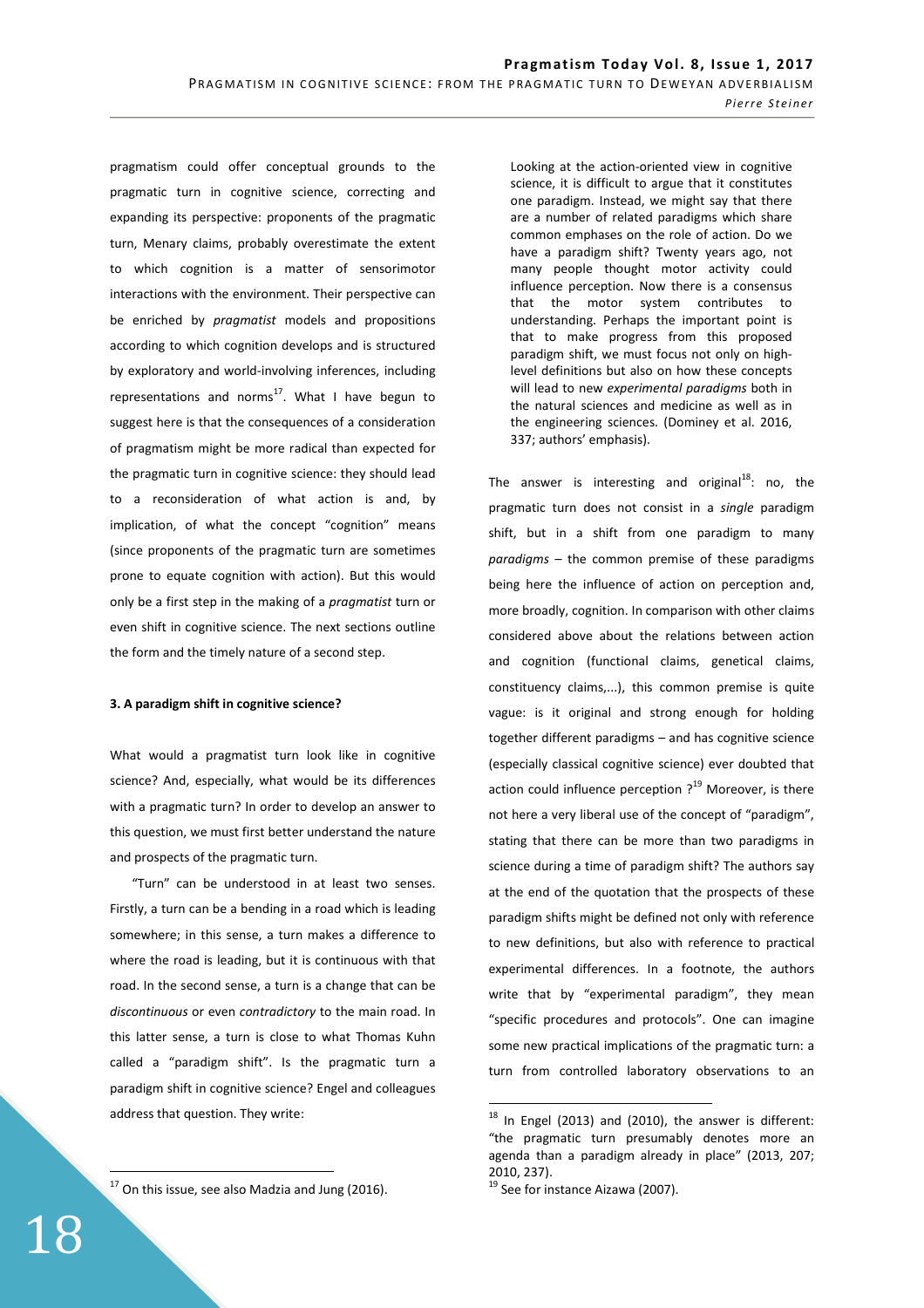pragmatism could offer conceptual grounds to the pragmatic turn in cognitive science, correcting and expanding its perspective: proponents of the pragmatic turn, Menary claims, probably overestimate the extent to which cognition is a matter of sensorimotor interactions with the environment. Their perspective can be enriched by *pragmatist* models and propositions according to which cognition develops and is structured by exploratory and world-involving inferences, including representations and norms<sup>17</sup>. What I have begun to suggest here is that the consequences of a consideration of pragmatism might be more radical than expected for the pragmatic turn in cognitive science: they should lead to a reconsideration of what action is and, by implication, of what the concept "cognition" means (since proponents of the pragmatic turn are sometimes prone to equate cognition with action). But this would only be a first step in the making of a *pragmatist* turn or even shift in cognitive science. The next sections outline the form and the timely nature of a second step.

## **3. A paradigm shift in cognitive science?**

What would a pragmatist turn look like in cognitive science? And, especially, what would be its differences with a pragmatic turn? In order to develop an answer to this question, we must first better understand the nature and prospects of the pragmatic turn.

"Turn" can be understood in at least two senses. Firstly, a turn can be a bending in a road which is leading somewhere; in this sense, a turn makes a difference to where the road is leading, but it is continuous with that road. In the second sense, a turn is a change that can be *discontinuous* or even *contradictory* to the main road. In this latter sense, a turn is close to what Thomas Kuhn called a "paradigm shift". Is the pragmatic turn a paradigm shift in cognitive science? Engel and colleagues address that question. They write:

 $17$  On this issue, see also Madzia and Jung (2016).

Looking at the action-oriented view in cognitive science, it is difficult to argue that it constitutes one paradigm. Instead, we might say that there are a number of related paradigms which share common emphases on the role of action. Do we have a paradigm shift? Twenty years ago, not many people thought motor activity could influence perception. Now there is a consensus that the motor system contributes to understanding. Perhaps the important point is that to make progress from this proposed paradigm shift, we must focus not only on highlevel definitions but also on how these concepts will lead to new *experimental paradigms* both in the natural sciences and medicine as well as in the engineering sciences. (Dominey et al. 2016, 337; authors' emphasis).

The answer is interesting and original $^{18}$ : no, the pragmatic turn does not consist in a *single* paradigm shift, but in a shift from one paradigm to many *paradigms* – the common premise of these paradigms being here the influence of action on perception and, more broadly, cognition. In comparison with other claims considered above about the relations between action and cognition (functional claims, genetical claims, constituency claims,...), this common premise is quite vague: is it original and strong enough for holding together different paradigms – and has cognitive science (especially classical cognitive science) ever doubted that action could influence perception  $?$ <sup>19</sup> Moreover, is there not here a very liberal use of the concept of "paradigm", stating that there can be more than two paradigms in science during a time of paradigm shift? The authors say at the end of the quotation that the prospects of these paradigm shifts might be defined not only with reference to new definitions, but also with reference to practical experimental differences. In a footnote, the authors write that by "experimental paradigm", they mean "specific procedures and protocols". One can imagine some new practical implications of the pragmatic turn: a turn from controlled laboratory observations to an

 $\overline{a}$ 

 $18$  In Engel (2013) and (2010), the answer is different: "the pragmatic turn presumably denotes more an agenda than a paradigm already in place" (2013, 207; 2010, 237).

<sup>&</sup>lt;sup>19</sup> See for instance Aizawa (2007).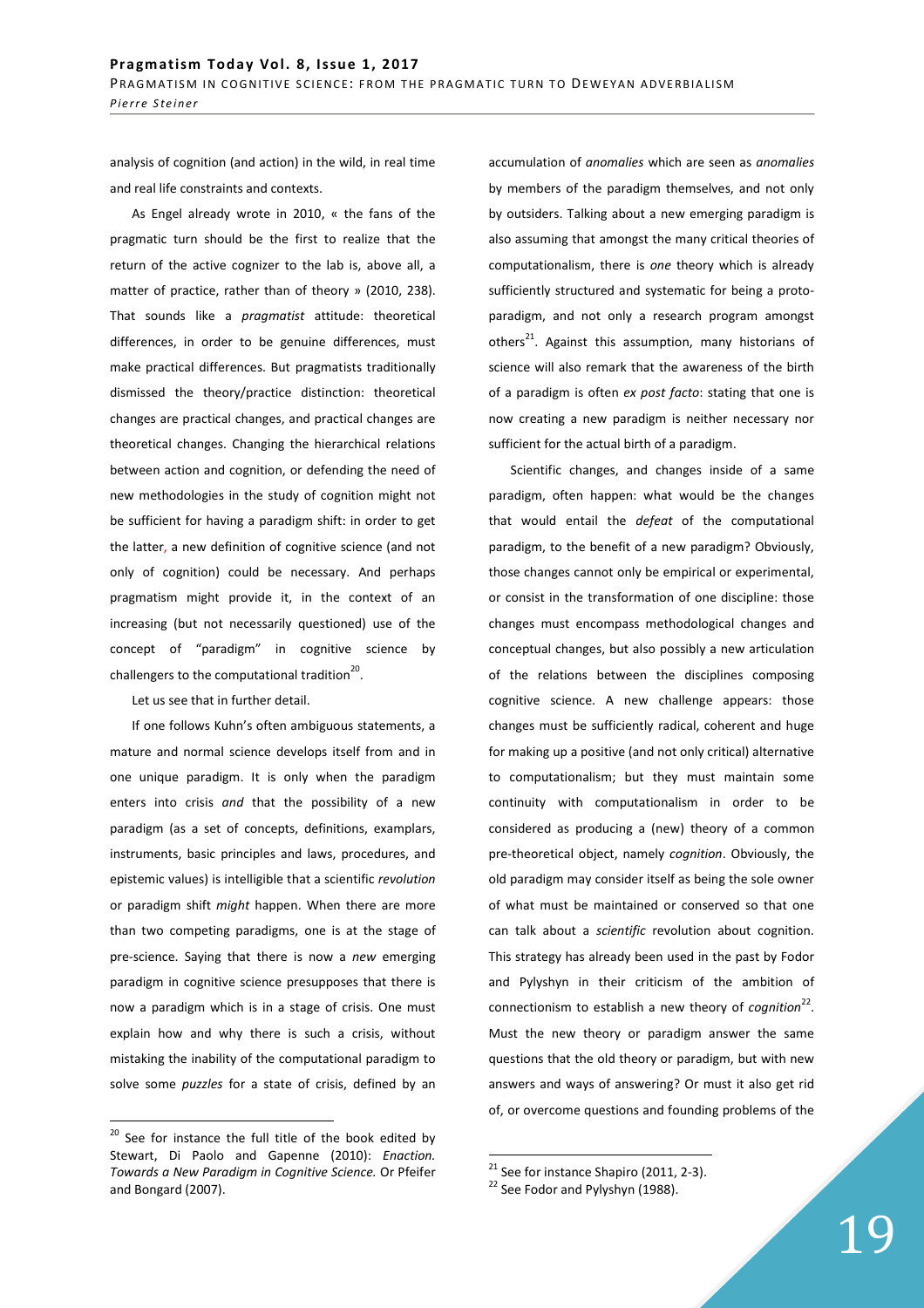analysis of cognition (and action) in the wild, in real time and real life constraints and contexts.

As Engel already wrote in 2010, « the fans of the pragmatic turn should be the first to realize that the return of the active cognizer to the lab is, above all, a matter of practice, rather than of theory » (2010, 238). That sounds like a *pragmatist* attitude: theoretical differences, in order to be genuine differences, must make practical differences. But pragmatists traditionally dismissed the theory/practice distinction: theoretical changes are practical changes, and practical changes are theoretical changes. Changing the hierarchical relations between action and cognition, or defending the need of new methodologies in the study of cognition might not be sufficient for having a paradigm shift: in order to get the latter, a new definition of cognitive science (and not only of cognition) could be necessary. And perhaps pragmatism might provide it, in the context of an increasing (but not necessarily questioned) use of the concept of "paradigm" in cognitive science by challengers to the computational tradition $^{20}$ .

Let us see that in further detail.

If one follows Kuhn's often ambiguous statements, a mature and normal science develops itself from and in one unique paradigm. It is only when the paradigm enters into crisis *and* that the possibility of a new paradigm (as a set of concepts, definitions, examplars, instruments, basic principles and laws, procedures, and epistemic values) is intelligible that a scientific *revolution*  or paradigm shift *might* happen. When there are more than two competing paradigms, one is at the stage of pre-science. Saying that there is now a *new* emerging paradigm in cognitive science presupposes that there is now a paradigm which is in a stage of crisis. One must explain how and why there is such a crisis, without mistaking the inability of the computational paradigm to solve some *puzzles* for a state of crisis, defined by an

 $\overline{a}$ 

accumulation of *anomalies* which are seen as *anomalies*  by members of the paradigm themselves, and not only by outsiders. Talking about a new emerging paradigm is also assuming that amongst the many critical theories of computationalism, there is *one* theory which is already sufficiently structured and systematic for being a protoparadigm, and not only a research program amongst others<sup>21</sup>. Against this assumption, many historians of science will also remark that the awareness of the birth of a paradigm is often *ex post facto*: stating that one is now creating a new paradigm is neither necessary nor sufficient for the actual birth of a paradigm.

Scientific changes, and changes inside of a same paradigm, often happen: what would be the changes that would entail the *defeat* of the computational paradigm, to the benefit of a new paradigm? Obviously, those changes cannot only be empirical or experimental, or consist in the transformation of one discipline: those changes must encompass methodological changes and conceptual changes, but also possibly a new articulation of the relations between the disciplines composing cognitive science. A new challenge appears: those changes must be sufficiently radical, coherent and huge for making up a positive (and not only critical) alternative to computationalism; but they must maintain some continuity with computationalism in order to be considered as producing a (new) theory of a common pre-theoretical object, namely *cognition*. Obviously, the old paradigm may consider itself as being the sole owner of what must be maintained or conserved so that one can talk about a *scientific* revolution about cognition. This strategy has already been used in the past by Fodor and Pylyshyn in their criticism of the ambition of connectionism to establish a new theory of *cognition*<sup>22</sup>. Must the new theory or paradigm answer the same questions that the old theory or paradigm, but with new answers and ways of answering? Or must it also get rid of, or overcome questions and founding problems of the

 $20$  See for instance the full title of the book edited by Stewart, Di Paolo and Gapenne (2010): *Enaction. Towards a New Paradigm in Cognitive Science.* Or Pfeifer and Bongard (2007).

 $\overline{a}$  $21$  See for instance Shapiro (2011, 2-3).

<sup>&</sup>lt;sup>22</sup> See Fodor and Pylyshyn (1988).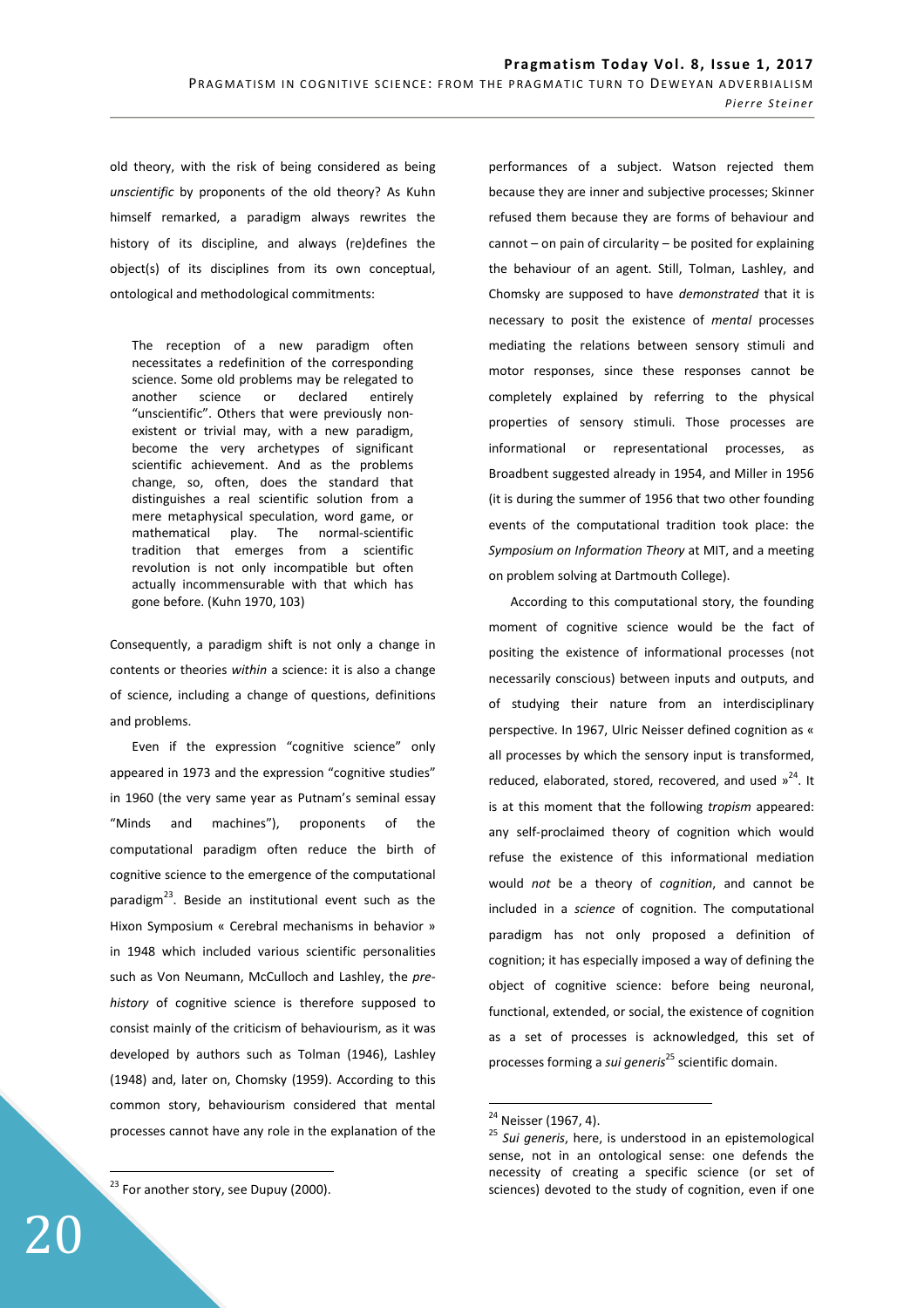old theory, with the risk of being considered as being *unscientific* by proponents of the old theory? As Kuhn himself remarked, a paradigm always rewrites the history of its discipline, and always (re)defines the object(s) of its disciplines from its own conceptual, ontological and methodological commitments:

The reception of a new paradigm often necessitates a redefinition of the corresponding science. Some old problems may be relegated to another science or declared entirely "unscientific". Others that were previously nonexistent or trivial may, with a new paradigm, become the very archetypes of significant scientific achievement. And as the problems change, so, often, does the standard that distinguishes a real scientific solution from a mere metaphysical speculation, word game, or mathematical play. The normal-scientific tradition that emerges from a scientific revolution is not only incompatible but often actually incommensurable with that which has gone before. (Kuhn 1970, 103)

Consequently, a paradigm shift is not only a change in contents or theories *within* a science: it is also a change of science, including a change of questions, definitions and problems.

Even if the expression "cognitive science" only appeared in 1973 and the expression "cognitive studies" in 1960 (the very same year as Putnam's seminal essay "Minds and machines"), proponents of the computational paradigm often reduce the birth of cognitive science to the emergence of the computational paradigm<sup>23</sup>. Beside an institutional event such as the Hixon Symposium « Cerebral mechanisms in behavior » in 1948 which included various scientific personalities such as Von Neumann, McCulloch and Lashley, the *prehistory* of cognitive science is therefore supposed to consist mainly of the criticism of behaviourism, as it was developed by authors such as Tolman (1946), Lashley (1948) and, later on, Chomsky (1959). According to this common story, behaviourism considered that mental processes cannot have any role in the explanation of the

 $23$  For another story, see Dupuy (2000).

performances of a subject. Watson rejected them because they are inner and subjective processes; Skinner refused them because they are forms of behaviour and cannot – on pain of circularity – be posited for explaining the behaviour of an agent. Still, Tolman, Lashley, and Chomsky are supposed to have *demonstrated* that it is necessary to posit the existence of *mental* processes mediating the relations between sensory stimuli and motor responses, since these responses cannot be completely explained by referring to the physical properties of sensory stimuli. Those processes are informational or representational processes, as Broadbent suggested already in 1954, and Miller in 1956 (it is during the summer of 1956 that two other founding events of the computational tradition took place: the *Symposium on Information Theory* at MIT, and a meeting on problem solving at Dartmouth College).

According to this computational story, the founding moment of cognitive science would be the fact of positing the existence of informational processes (not necessarily conscious) between inputs and outputs, and of studying their nature from an interdisciplinary perspective. In 1967, Ulric Neisser defined cognition as « all processes by which the sensory input is transformed, reduced, elaborated, stored, recovered, and used  $v^{24}$ , It is at this moment that the following *tropism* appeared: any self-proclaimed theory of cognition which would refuse the existence of this informational mediation would *not* be a theory of *cognition*, and cannot be included in a *science* of cognition. The computational paradigm has not only proposed a definition of cognition; it has especially imposed a way of defining the object of cognitive science: before being neuronal, functional, extended, or social, the existence of cognition as a set of processes is acknowledged, this set of processes forming a *sui generis*<sup>25</sup> scientific domain.

 $\overline{a}$ 

<sup>&</sup>lt;sup>24</sup> Neisser (1967, 4).

<sup>25</sup> *Sui generis*, here, is understood in an epistemological sense, not in an ontological sense: one defends the necessity of creating a specific science (or set of sciences) devoted to the study of cognition, even if one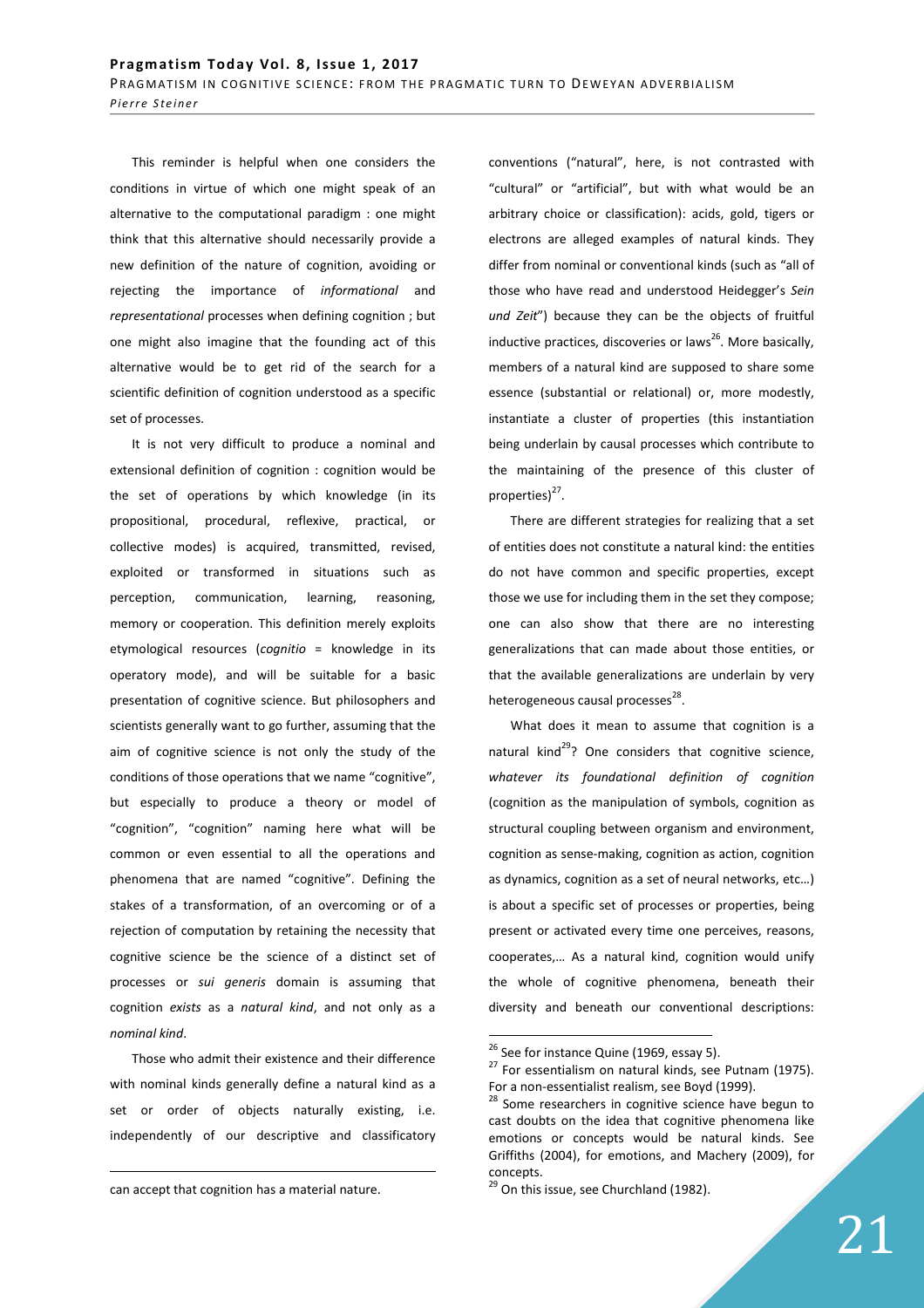This reminder is helpful when one considers the conditions in virtue of which one might speak of an alternative to the computational paradigm : one might think that this alternative should necessarily provide a new definition of the nature of cognition, avoiding or rejecting the importance of *informational* and *representational* processes when defining cognition ; but one might also imagine that the founding act of this alternative would be to get rid of the search for a scientific definition of cognition understood as a specific set of processes.

It is not very difficult to produce a nominal and extensional definition of cognition : cognition would be the set of operations by which knowledge (in its propositional, procedural, reflexive, practical, or collective modes) is acquired, transmitted, revised, exploited or transformed in situations such as perception, communication, learning, reasoning, memory or cooperation. This definition merely exploits etymological resources (*cognitio* = knowledge in its operatory mode), and will be suitable for a basic presentation of cognitive science. But philosophers and scientists generally want to go further, assuming that the aim of cognitive science is not only the study of the conditions of those operations that we name "cognitive", but especially to produce a theory or model of "cognition", "cognition" naming here what will be common or even essential to all the operations and phenomena that are named "cognitive". Defining the stakes of a transformation, of an overcoming or of a rejection of computation by retaining the necessity that cognitive science be the science of a distinct set of processes or *sui generis* domain is assuming that cognition *exists* as a *natural kind*, and not only as a *nominal kind*.

Those who admit their existence and their difference with nominal kinds generally define a natural kind as a set or order of objects naturally existing, i.e. independently of our descriptive and classificatory

<u>.</u>

conventions ("natural", here, is not contrasted with "cultural" or "artificial", but with what would be an arbitrary choice or classification): acids, gold, tigers or electrons are alleged examples of natural kinds. They differ from nominal or conventional kinds (such as "all of those who have read and understood Heidegger's *Sein und Zeit*") because they can be the objects of fruitful inductive practices, discoveries or laws $^{26}$ . More basically, members of a natural kind are supposed to share some essence (substantial or relational) or, more modestly, instantiate a cluster of properties (this instantiation being underlain by causal processes which contribute to the maintaining of the presence of this cluster of properties)<sup>27</sup>.

There are different strategies for realizing that a set of entities does not constitute a natural kind: the entities do not have common and specific properties, except those we use for including them in the set they compose; one can also show that there are no interesting generalizations that can made about those entities, or that the available generalizations are underlain by very heterogeneous causal processes<sup>28</sup>.

What does it mean to assume that cognition is a natural kind $^{29}$ ? One considers that cognitive science, *whatever its foundational definition of cognition*  (cognition as the manipulation of symbols, cognition as structural coupling between organism and environment, cognition as sense-making, cognition as action, cognition as dynamics, cognition as a set of neural networks, etc…) is about a specific set of processes or properties, being present or activated every time one perceives, reasons, cooperates,… As a natural kind, cognition would unify the whole of cognitive phenomena, beneath their diversity and beneath our conventional descriptions:

can accept that cognition has a material nature.

<sup>&</sup>lt;sup>26</sup> See for instance Quine (1969, essay 5).

 $27$  For essentialism on natural kinds, see Putnam (1975). For a non-essentialist realism, see Boyd (1999).

<sup>&</sup>lt;sup>28</sup> Some researchers in cognitive science have begun to cast doubts on the idea that cognitive phenomena like emotions or concepts would be natural kinds. See Griffiths (2004), for emotions, and Machery (2009), for concepts.

<sup>&</sup>lt;sup>29</sup> On this issue, see Churchland (1982).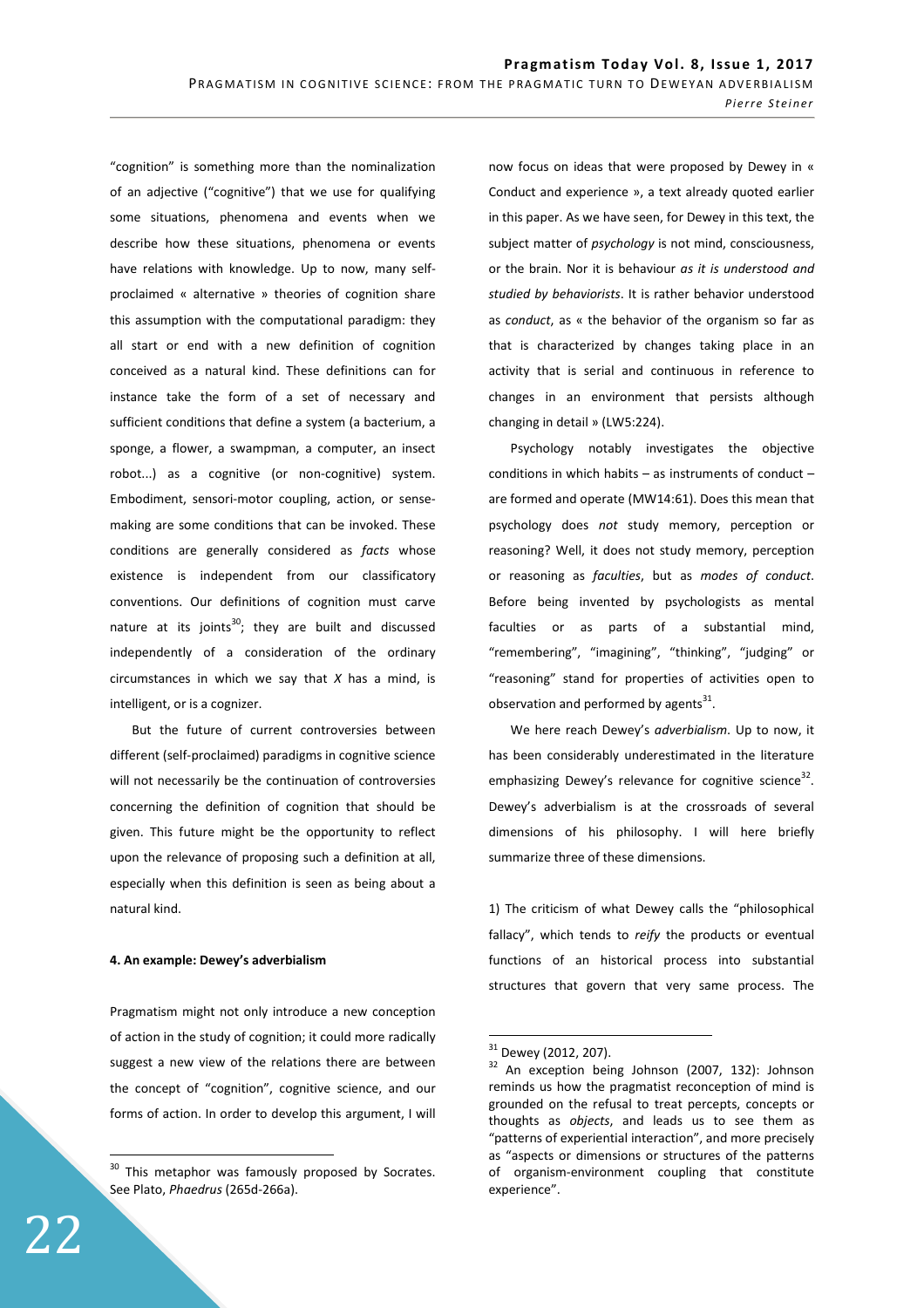"cognition" is something more than the nominalization of an adjective ("cognitive") that we use for qualifying some situations, phenomena and events when we describe how these situations, phenomena or events have relations with knowledge. Up to now, many selfproclaimed « alternative » theories of cognition share this assumption with the computational paradigm: they all start or end with a new definition of cognition conceived as a natural kind. These definitions can for instance take the form of a set of necessary and sufficient conditions that define a system (a bacterium, a sponge, a flower, a swampman, a computer, an insect robot...) as a cognitive (or non-cognitive) system. Embodiment, sensori-motor coupling, action, or sensemaking are some conditions that can be invoked. These conditions are generally considered as *facts* whose existence is independent from our classificatory conventions. Our definitions of cognition must carve nature at its joints<sup>30</sup>; they are built and discussed independently of a consideration of the ordinary circumstances in which we say that *X* has a mind, is intelligent, or is a cognizer.

But the future of current controversies between different (self-proclaimed) paradigms in cognitive science will not necessarily be the continuation of controversies concerning the definition of cognition that should be given. This future might be the opportunity to reflect upon the relevance of proposing such a definition at all, especially when this definition is seen as being about a natural kind.

#### **4. An example: Dewey's adverbialism**

Pragmatism might not only introduce a new conception of action in the study of cognition; it could more radically suggest a new view of the relations there are between the concept of "cognition", cognitive science, and our forms of action. In order to develop this argument, I will now focus on ideas that were proposed by Dewey in « Conduct and experience », a text already quoted earlier in this paper. As we have seen, for Dewey in this text, the subject matter of *psychology* is not mind, consciousness, or the brain. Nor it is behaviour *as it is understood and studied by behaviorists*. It is rather behavior understood as *conduct*, as « the behavior of the organism so far as that is characterized by changes taking place in an activity that is serial and continuous in reference to changes in an environment that persists although changing in detail » (LW5:224).

Psychology notably investigates the objective conditions in which habits – as instruments of conduct – are formed and operate (MW14:61). Does this mean that psychology does *not* study memory, perception or reasoning? Well, it does not study memory, perception or reasoning as *faculties*, but as *modes of conduct*. Before being invented by psychologists as mental faculties or as parts of a substantial mind, "remembering", "imagining", "thinking", "judging" or "reasoning" stand for properties of activities open to observation and performed by agents $^{31}$ .

We here reach Dewey's *adverbialism*. Up to now, it has been considerably underestimated in the literature emphasizing Dewey's relevance for cognitive science<sup>32</sup>. Dewey's adverbialism is at the crossroads of several dimensions of his philosophy. I will here briefly summarize three of these dimensions.

1) The criticism of what Dewey calls the "philosophical fallacy", which tends to *reify* the products or eventual functions of an historical process into substantial structures that govern that very same process. The

 $\overline{a}$ 

<sup>&</sup>lt;sup>30</sup> This metaphor was famously proposed by Socrates. See Plato, *Phaedrus* (265d-266a).

 $\frac{31}{32}$  Dewey (2012, 207).

An exception being Johnson (2007, 132): Johnson reminds us how the pragmatist reconception of mind is grounded on the refusal to treat percepts, concepts or thoughts as *objects*, and leads us to see them as "patterns of experiential interaction", and more precisely as "aspects or dimensions or structures of the patterns of organism-environment coupling that constitute experience".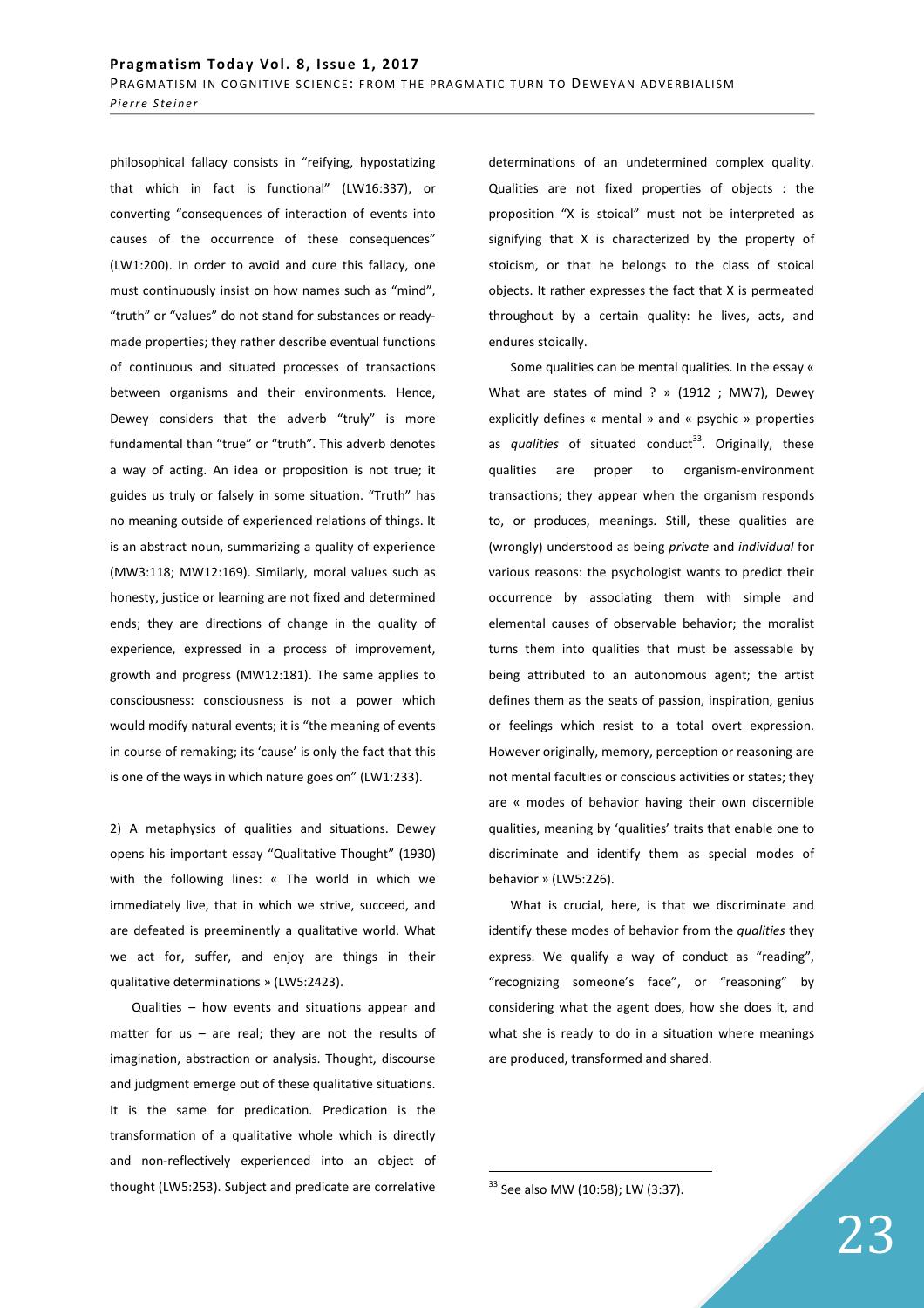philosophical fallacy consists in "reifying, hypostatizing that which in fact is functional" (LW16:337), or converting "consequences of interaction of events into causes of the occurrence of these consequences" (LW1:200). In order to avoid and cure this fallacy, one must continuously insist on how names such as "mind", "truth" or "values" do not stand for substances or readymade properties; they rather describe eventual functions of continuous and situated processes of transactions between organisms and their environments. Hence, Dewey considers that the adverb "truly" is more fundamental than "true" or "truth". This adverb denotes a way of acting. An idea or proposition is not true; it guides us truly or falsely in some situation. "Truth" has no meaning outside of experienced relations of things. It is an abstract noun, summarizing a quality of experience (MW3:118; MW12:169). Similarly, moral values such as honesty, justice or learning are not fixed and determined ends; they are directions of change in the quality of experience, expressed in a process of improvement, growth and progress (MW12:181). The same applies to consciousness: consciousness is not a power which would modify natural events; it is "the meaning of events in course of remaking; its 'cause' is only the fact that this is one of the ways in which nature goes on" (LW1:233).

2) A metaphysics of qualities and situations. Dewey opens his important essay "Qualitative Thought" (1930) with the following lines: « The world in which we immediately live, that in which we strive, succeed, and are defeated is preeminently a qualitative world. What we act for, suffer, and enjoy are things in their qualitative determinations » (LW5:2423).

Qualities – how events and situations appear and matter for us – are real; they are not the results of imagination, abstraction or analysis. Thought, discourse and judgment emerge out of these qualitative situations. It is the same for predication. Predication is the transformation of a qualitative whole which is directly and non-reflectively experienced into an object of thought (LW5:253). Subject and predicate are correlative

determinations of an undetermined complex quality. Qualities are not fixed properties of objects : the proposition "X is stoical" must not be interpreted as signifying that X is characterized by the property of stoicism, or that he belongs to the class of stoical objects. It rather expresses the fact that X is permeated throughout by a certain quality: he lives, acts, and endures stoically.

Some qualities can be mental qualities. In the essay « What are states of mind ? » (1912 ; MW7), Dewey explicitly defines « mental » and « psychic » properties as *qualities* of situated conduct<sup>33</sup>. Originally, these qualities are proper to organism-environment transactions; they appear when the organism responds to, or produces, meanings. Still, these qualities are (wrongly) understood as being *private* and *individual* for various reasons: the psychologist wants to predict their occurrence by associating them with simple and elemental causes of observable behavior; the moralist turns them into qualities that must be assessable by being attributed to an autonomous agent; the artist defines them as the seats of passion, inspiration, genius or feelings which resist to a total overt expression. However originally, memory, perception or reasoning are not mental faculties or conscious activities or states; they are « modes of behavior having their own discernible qualities, meaning by 'qualities' traits that enable one to discriminate and identify them as special modes of behavior » (LW5:226).

What is crucial, here, is that we discriminate and identify these modes of behavior from the *qualities* they express. We qualify a way of conduct as "reading", "recognizing someone's face", or "reasoning" by considering what the agent does, how she does it, and what she is ready to do in a situation where meanings are produced, transformed and shared.

<sup>33</sup> See also MW (10:58); LW (3:37).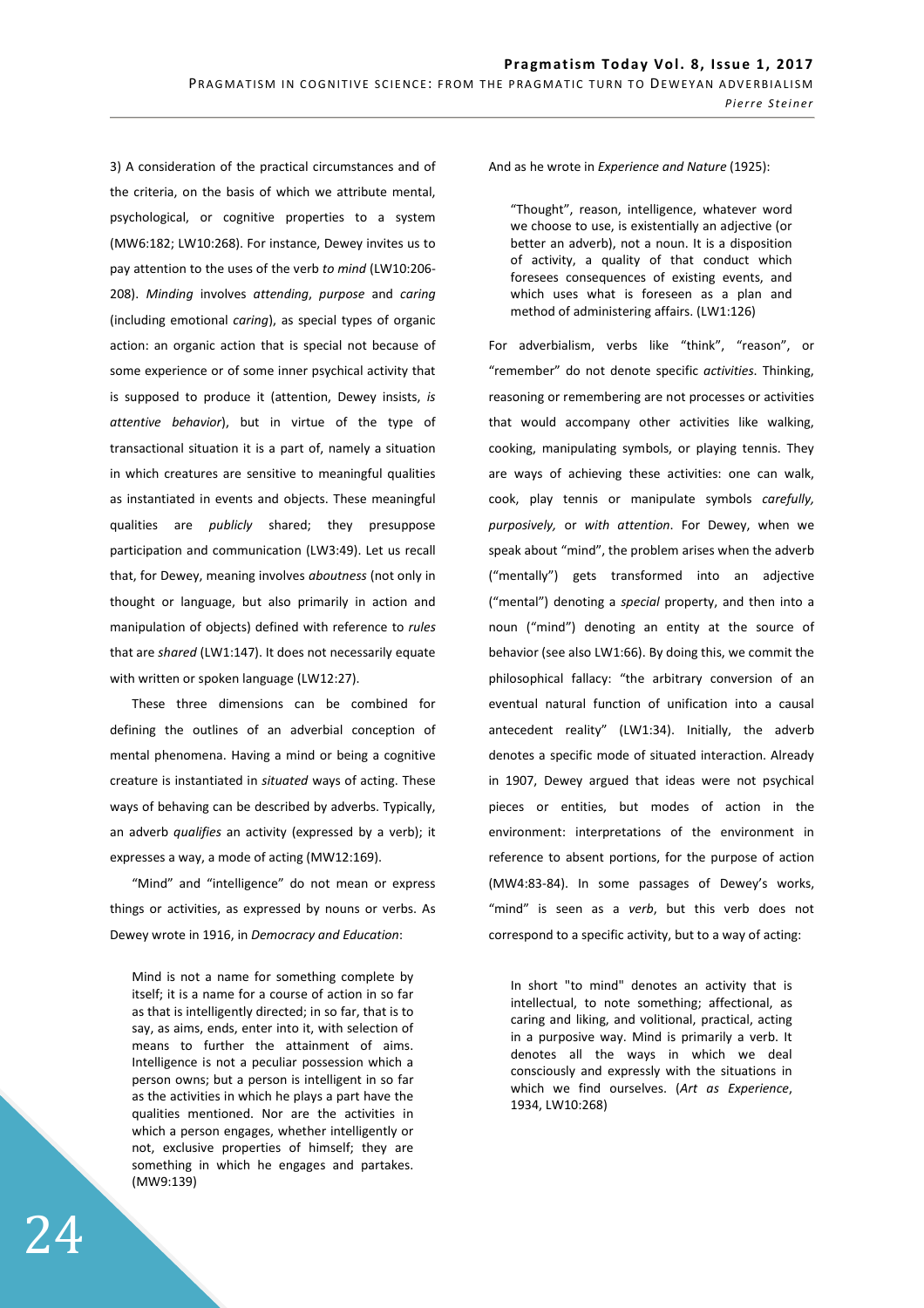3) A consideration of the practical circumstances and of the criteria, on the basis of which we attribute mental, psychological, or cognitive properties to a system (MW6:182; LW10:268). For instance, Dewey invites us to pay attention to the uses of the verb *to mind* (LW10:206- 208). *Minding* involves *attending*, *purpose* and *caring*  (including emotional *caring*), as special types of organic action: an organic action that is special not because of some experience or of some inner psychical activity that is supposed to produce it (attention, Dewey insists, *is attentive behavior*), but in virtue of the type of transactional situation it is a part of, namely a situation in which creatures are sensitive to meaningful qualities as instantiated in events and objects. These meaningful qualities are *publicly* shared; they presuppose participation and communication (LW3:49). Let us recall that, for Dewey, meaning involves *aboutness* (not only in thought or language, but also primarily in action and manipulation of objects) defined with reference to *rules* that are *shared* (LW1:147). It does not necessarily equate with written or spoken language (LW12:27).

These three dimensions can be combined for defining the outlines of an adverbial conception of mental phenomena. Having a mind or being a cognitive creature is instantiated in *situated* ways of acting. These ways of behaving can be described by adverbs. Typically, an adverb *qualifies* an activity (expressed by a verb); it expresses a way, a mode of acting (MW12:169).

"Mind" and "intelligence" do not mean or express things or activities, as expressed by nouns or verbs. As Dewey wrote in 1916, in *Democracy and Education*:

Mind is not a name for something complete by itself; it is a name for a course of action in so far as that is intelligently directed; in so far, that is to say, as aims, ends, enter into it, with selection of means to further the attainment of aims. Intelligence is not a peculiar possession which a person owns; but a person is intelligent in so far as the activities in which he plays a part have the qualities mentioned. Nor are the activities in which a person engages, whether intelligently or not, exclusive properties of himself; they are something in which he engages and partakes. (MW9:139)

And as he wrote in *Experience and Nature* (1925):

"Thought", reason, intelligence, whatever word we choose to use, is existentially an adjective (or better an adverb), not a noun. It is a disposition of activity, a quality of that conduct which foresees consequences of existing events, and which uses what is foreseen as a plan and method of administering affairs. (LW1:126)

For adverbialism, verbs like "think", "reason", or "remember" do not denote specific *activities*. Thinking, reasoning or remembering are not processes or activities that would accompany other activities like walking, cooking, manipulating symbols, or playing tennis. They are ways of achieving these activities: one can walk, cook, play tennis or manipulate symbols *carefully, purposively,* or *with attention*. For Dewey, when we speak about "mind", the problem arises when the adverb ("mentally") gets transformed into an adjective ("mental") denoting a *special* property, and then into a noun ("mind") denoting an entity at the source of behavior (see also LW1:66). By doing this, we commit the philosophical fallacy: "the arbitrary conversion of an eventual natural function of unification into a causal antecedent reality" (LW1:34). Initially, the adverb denotes a specific mode of situated interaction. Already in 1907, Dewey argued that ideas were not psychical pieces or entities, but modes of action in the environment: interpretations of the environment in reference to absent portions, for the purpose of action (MW4:83-84). In some passages of Dewey's works, "mind" is seen as a *verb*, but this verb does not correspond to a specific activity, but to a way of acting:

In short "to mind" denotes an activity that is intellectual, to note something; affectional, as caring and liking, and volitional, practical, acting in a purposive way. Mind is primarily a verb. It denotes all the ways in which we deal consciously and expressly with the situations in which we find ourselves. (*Art as Experience*, 1934, LW10:268)

24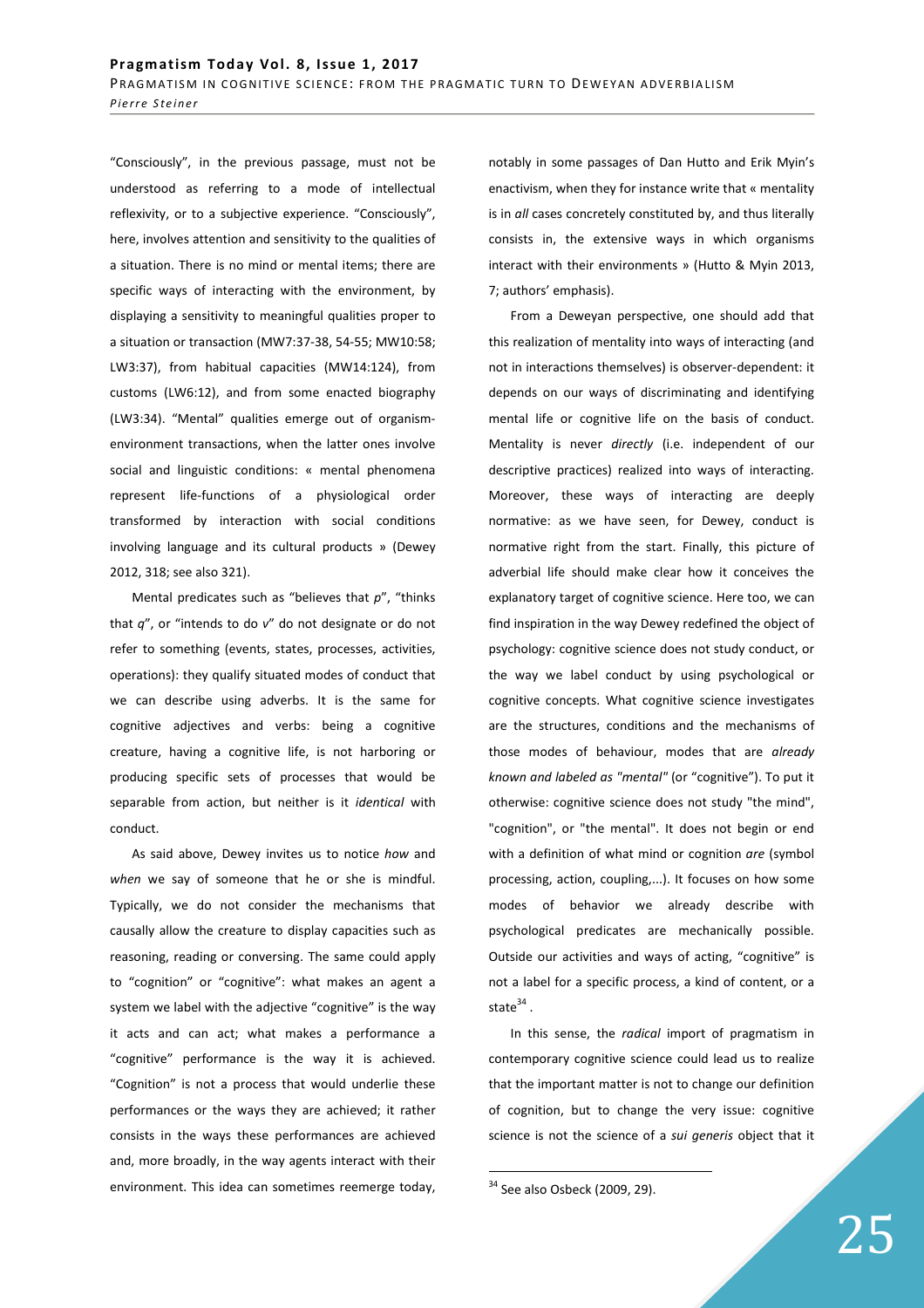"Consciously", in the previous passage, must not be understood as referring to a mode of intellectual reflexivity, or to a subjective experience. "Consciously", here, involves attention and sensitivity to the qualities of a situation. There is no mind or mental items; there are specific ways of interacting with the environment, by displaying a sensitivity to meaningful qualities proper to a situation or transaction (MW7:37-38, 54-55; MW10:58; LW3:37), from habitual capacities (MW14:124), from customs (LW6:12), and from some enacted biography (LW3:34). "Mental" qualities emerge out of organismenvironment transactions, when the latter ones involve social and linguistic conditions: « mental phenomena represent life-functions of a physiological order transformed by interaction with social conditions involving language and its cultural products » (Dewey 2012, 318; see also 321).

Mental predicates such as "believes that *p*", "thinks that *q*", or "intends to do *v*" do not designate or do not refer to something (events, states, processes, activities, operations): they qualify situated modes of conduct that we can describe using adverbs. It is the same for cognitive adjectives and verbs: being a cognitive creature, having a cognitive life, is not harboring or producing specific sets of processes that would be separable from action, but neither is it *identical* with conduct.

As said above, Dewey invites us to notice *how* and *when* we say of someone that he or she is mindful. Typically, we do not consider the mechanisms that causally allow the creature to display capacities such as reasoning, reading or conversing. The same could apply to "cognition" or "cognitive": what makes an agent a system we label with the adjective "cognitive" is the way it acts and can act; what makes a performance a "cognitive" performance is the way it is achieved. "Cognition" is not a process that would underlie these performances or the ways they are achieved; it rather consists in the ways these performances are achieved and, more broadly, in the way agents interact with their environment. This idea can sometimes reemerge today,

notably in some passages of Dan Hutto and Erik Myin's enactivism, when they for instance write that « mentality is in *all* cases concretely constituted by, and thus literally consists in, the extensive ways in which organisms interact with their environments » (Hutto & Myin 2013, 7; authors' emphasis).

From a Deweyan perspective, one should add that this realization of mentality into ways of interacting (and not in interactions themselves) is observer-dependent: it depends on our ways of discriminating and identifying mental life or cognitive life on the basis of conduct. Mentality is never *directly* (i.e. independent of our descriptive practices) realized into ways of interacting. Moreover, these ways of interacting are deeply normative: as we have seen, for Dewey, conduct is normative right from the start. Finally, this picture of adverbial life should make clear how it conceives the explanatory target of cognitive science. Here too, we can find inspiration in the way Dewey redefined the object of psychology: cognitive science does not study conduct, or the way we label conduct by using psychological or cognitive concepts. What cognitive science investigates are the structures, conditions and the mechanisms of those modes of behaviour, modes that are *already known and labeled as "mental"* (or "cognitive"). To put it otherwise: cognitive science does not study "the mind", "cognition", or "the mental". It does not begin or end with a definition of what mind or cognition *are* (symbol processing, action, coupling,...). It focuses on how some modes of behavior we already describe with psychological predicates are mechanically possible. Outside our activities and ways of acting, "cognitive" is not a label for a specific process, a kind of content, or a state $^{34}$  .

In this sense, the *radical* import of pragmatism in contemporary cognitive science could lead us to realize that the important matter is not to change our definition of cognition, but to change the very issue: cognitive science is not the science of a *sui generis* object that it

 $34$  See also Osbeck (2009, 29).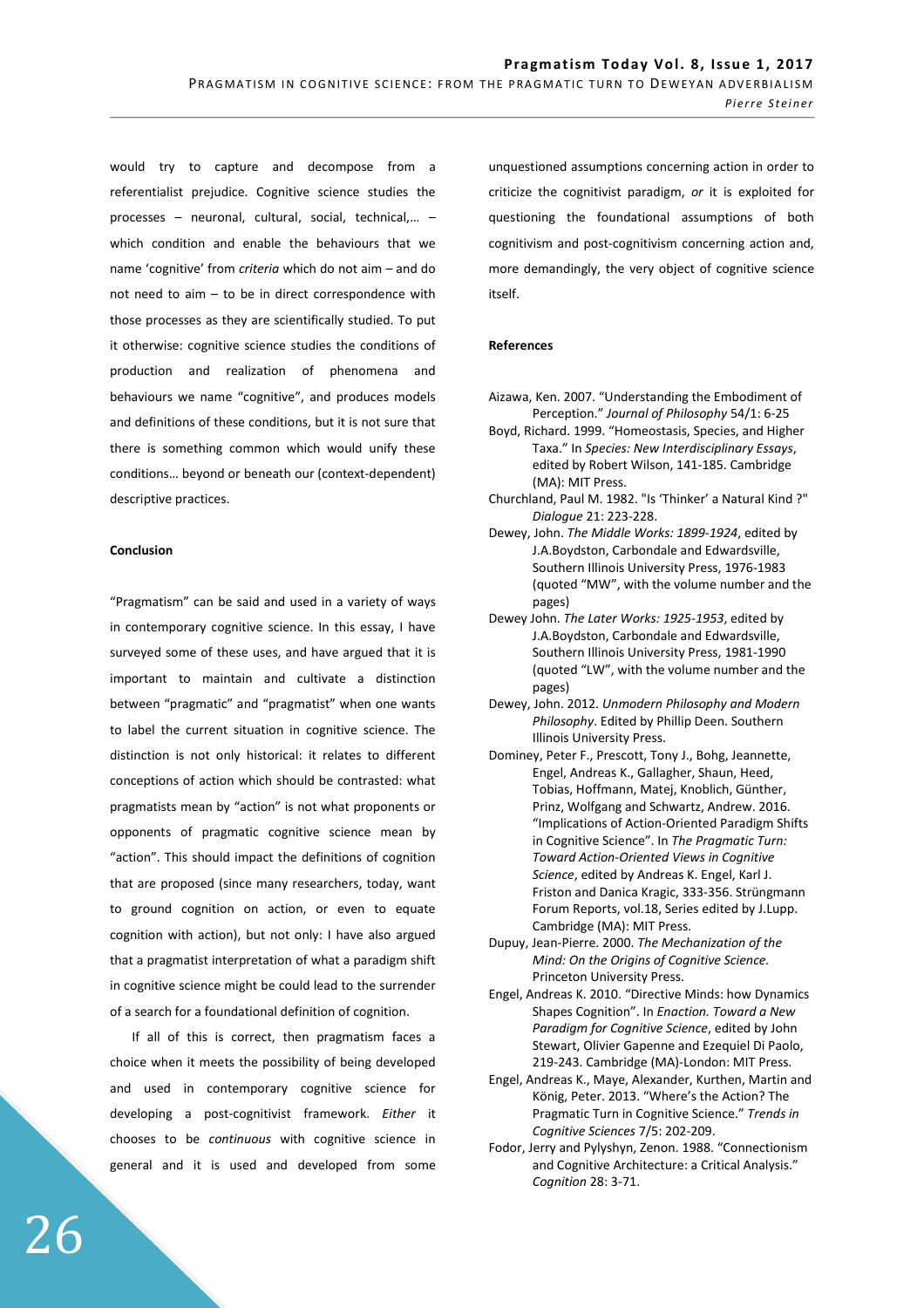would try to capture and decompose from a referentialist prejudice. Cognitive science studies the processes – neuronal, cultural, social, technical,… – which condition and enable the behaviours that we name 'cognitive' from *criteria* which do not aim – and do not need to aim – to be in direct correspondence with those processes as they are scientifically studied. To put it otherwise: cognitive science studies the conditions of production and realization of phenomena and behaviours we name "cognitive", and produces models and definitions of these conditions, but it is not sure that there is something common which would unify these conditions… beyond or beneath our (context-dependent) descriptive practices.

#### **Conclusion**

"Pragmatism" can be said and used in a variety of ways in contemporary cognitive science. In this essay, I have surveyed some of these uses, and have argued that it is important to maintain and cultivate a distinction between "pragmatic" and "pragmatist" when one wants to label the current situation in cognitive science. The distinction is not only historical: it relates to different conceptions of action which should be contrasted: what pragmatists mean by "action" is not what proponents or opponents of pragmatic cognitive science mean by "action". This should impact the definitions of cognition that are proposed (since many researchers, today, want to ground cognition on action, or even to equate cognition with action), but not only: I have also argued that a pragmatist interpretation of what a paradigm shift in cognitive science might be could lead to the surrender of a search for a foundational definition of cognition.

If all of this is correct, then pragmatism faces a choice when it meets the possibility of being developed and used in contemporary cognitive science for developing a post-cognitivist framework. *Either* it chooses to be *continuous* with cognitive science in general and it is used and developed from some

unquestioned assumptions concerning action in order to criticize the cognitivist paradigm, *or* it is exploited for questioning the foundational assumptions of both cognitivism and post-cognitivism concerning action and, more demandingly, the very object of cognitive science itself.

## **References**

- Aizawa, Ken. 2007. "Understanding the Embodiment of Perception." *Journal of Philosophy* 54/1: 6-25
- Boyd, Richard. 1999. "Homeostasis, Species, and Higher Taxa." In *Species: New Interdisciplinary Essays*, edited by Robert Wilson, 141-185. Cambridge (MA): MIT Press.
- Churchland, Paul M. 1982. "Is 'Thinker' a Natural Kind ?" *Dialogue* 21: 223-228.
- Dewey, John. *The Middle Works: 1899-1924*, edited by J.A.Boydston, Carbondale and Edwardsville, Southern Illinois University Press, 1976-1983 (quoted "MW", with the volume number and the pages)
- Dewey John. *The Later Works: 1925-1953*, edited by J.A.Boydston, Carbondale and Edwardsville, Southern Illinois University Press, 1981-1990 (quoted "LW", with the volume number and the pages)
- Dewey, John. 2012. *Unmodern Philosophy and Modern Philosophy*. Edited by Phillip Deen. Southern Illinois University Press.
- Dominey, Peter F., Prescott, Tony J., Bohg, Jeannette, Engel, Andreas K., Gallagher, Shaun, Heed, Tobias, Hoffmann, Matej, Knoblich, Günther, Prinz, Wolfgang and Schwartz, Andrew. 2016. "Implications of Action-Oriented Paradigm Shifts in Cognitive Science". In *The Pragmatic Turn: Toward Action-Oriented Views in Cognitive Science*, edited by Andreas K. Engel, Karl J. Friston and Danica Kragic, 333-356. Strüngmann Forum Reports, vol.18, Series edited by J.Lupp. Cambridge (MA): MIT Press.
- Dupuy, Jean-Pierre. 2000. *The Mechanization of the Mind: On the Origins of Cognitive Science.* Princeton University Press.
- Engel, Andreas K. 2010. "Directive Minds: how Dynamics Shapes Cognition". In *Enaction. Toward a New Paradigm for Cognitive Science*, edited by John Stewart, Olivier Gapenne and Ezequiel Di Paolo, 219-243. Cambridge (MA)-London: MIT Press.
- Engel, Andreas K., Maye, Alexander, Kurthen, Martin and König, Peter. 2013. "Where's the Action? The Pragmatic Turn in Cognitive Science." *Trends in Cognitive Sciences* 7/5: 202-209.
- Fodor, Jerry and Pylyshyn, Zenon. 1988. "Connectionism and Cognitive Architecture: a Critical Analysis." *Cognition* 28: 3-71.